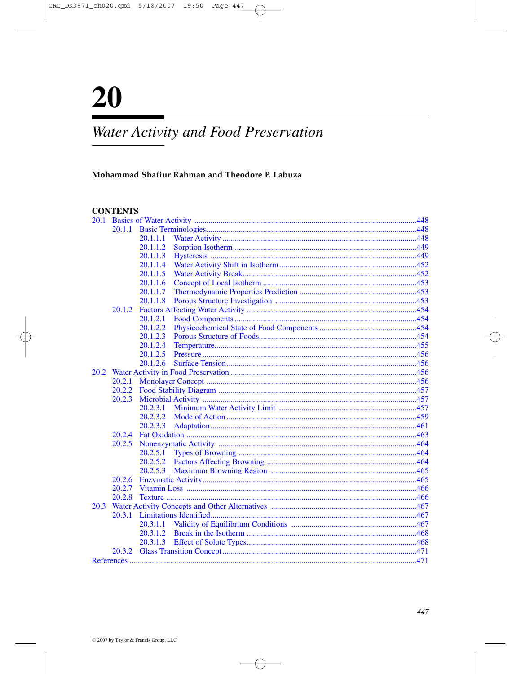20

# Water Activity and Food Preservation

# Mohammad Shafiur Rahman and Theodore P. Labuza

# **CONTENTS**

| 20.1.1 |          |  |  |
|--------|----------|--|--|
|        | 20.1.1.1 |  |  |
|        | 20.1.1.2 |  |  |
|        | 20.1.1.3 |  |  |
|        | 20.1.1.4 |  |  |
|        | 20.1.1.5 |  |  |
|        | 20.1.1.6 |  |  |
|        | 20.1.1.7 |  |  |
|        | 20.1.1.8 |  |  |
|        |          |  |  |
|        | 20.1.2.1 |  |  |
|        | 20.1.2.2 |  |  |
|        | 20.1.2.3 |  |  |
|        | 20.1.2.4 |  |  |
|        | 20.1.2.5 |  |  |
|        | 20.1.2.6 |  |  |
|        |          |  |  |
| 20.2.1 |          |  |  |
| 20.2.2 |          |  |  |
| 20.2.3 |          |  |  |
|        | 20.2.3.1 |  |  |
|        | 20.2.3.2 |  |  |
|        | 20.2.3.3 |  |  |
|        |          |  |  |
| 20.2.5 |          |  |  |
|        | 20.2.5.1 |  |  |
|        | 20.2.5.2 |  |  |
|        | 20.2.5.3 |  |  |
| 20.2.6 |          |  |  |
| 20.2.7 |          |  |  |
| 20.2.8 |          |  |  |
|        |          |  |  |
|        |          |  |  |
|        | 20.3.1.1 |  |  |
|        | 20.3.1.2 |  |  |
|        | 20.3.1.3 |  |  |
|        |          |  |  |
|        |          |  |  |
|        |          |  |  |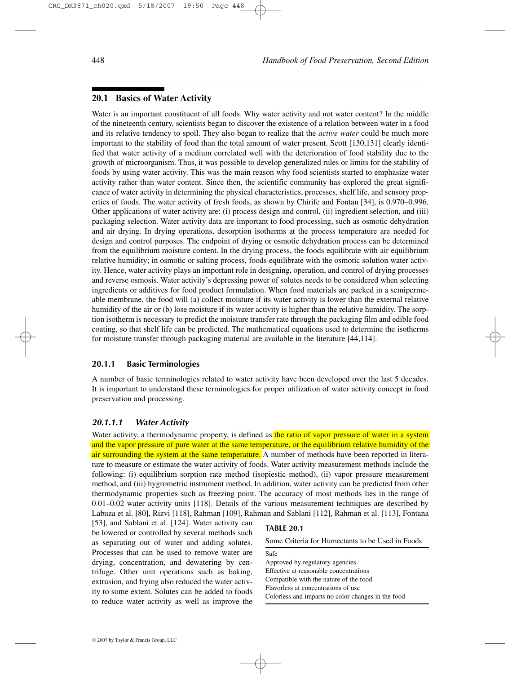# <span id="page-1-0"></span>**20.1 Basics of Water Activity**

Water is an important constituent of all foods. Why water activity and not water content? In the middle of the nineteenth century, scientists began to discover the existence of a relation between water in a food and its relative tendency to spoil. They also began to realize that the *active water* could be much more important to the stability of food than the total amount of water present. Scott [130,131] clearly identified that water activity of a medium correlated well with the deterioration of food stability due to the growth of microorganism. Thus, it was possible to develop generalized rules or limits for the stability of foods by using water activity. This was the main reason why food scientists started to emphasize water activity rather than water content. Since then, the scientific community has explored the great significance of water activity in determining the physical characteristics, processes, shelf life, and sensory properties of foods. The water activity of fresh foods, as shown by Chirife and Fontan [34], is 0.970–0.996. Other applications of water activity are: (i) process design and control, (ii) ingredient selection, and (iii) packaging selection. Water activity data are important to food processing, such as osmotic dehydration and air drying. In drying operations, desorption isotherms at the process temperature are needed for design and control purposes. The endpoint of drying or osmotic dehydration process can be determined from the equilibrium moisture content. In the drying process, the foods equilibrate with air equilibrium relative humidity; in osmotic or salting process, foods equilibrate with the osmotic solution water activity. Hence, water activity plays an important role in designing, operation, and control of drying processes and reverse osmosis. Water activity's depressing power of solutes needs to be considered when selecting ingredients or additives for food product formulation. When food materials are packed in a semipermeable membrane, the food will (a) collect moisture if its water activity is lower than the external relative humidity of the air or (b) lose moisture if its water activity is higher than the relative humidity. The sorption isotherm is necessary to predict the moisture transfer rate through the packaging film and edible food coating, so that shelf life can be predicted. The mathematical equations used to determine the isotherms for moisture transfer through packaging material are available in the literature [44,114].

## **20.1.1 Basic Terminologies**

A number of basic terminologies related to water activity have been developed over the last 5 decades. It is important to understand these terminologies for proper utilization of water activity concept in food preservation and processing.

## **20.1.1.1 Water Activity**

Water activity, a thermodynamic property, is defined as the ratio of vapor pressure of water in a system and the vapor pressure of pure water at the same temperature, or the equilibrium relative humidity of the air surrounding the system at the same temperature. A number of methods have been reported in literature to measure or estimate the water activity of foods. Water activity measurement methods include the following: (i) equilibrium sorption rate method (isopiestic method), (ii) vapor pressure measurement method, and (iii) hygrometric instrument method. In addition, water activity can be predicted from other thermodynamic properties such as freezing point. The accuracy of most methods lies in the range of 0.01–0.02 water activity units [118]. Details of the various measurement techniques are described by Labuza et al. [80], Rizvi [118], Rahman [109], Rahman and Sablani [112], Rahman et al. [113], Fontana

[53], and Sablani et al. [124]. Water activity can be lowered or controlled by several methods such as separating out of water and adding solutes. Processes that can be used to remove water are drying, concentration, and dewatering by centrifuge. Other unit operations such as baking, extrusion, and frying also reduced the water activity to some extent. Solutes can be added to foods to reduce water activity as well as improve the

## **TABLE 20.1**

Some Criteria for Humectants to be Used in Foods

| Safe                                               |
|----------------------------------------------------|
| Approved by regulatory agencies                    |
| Effective at reasonable concentrations             |
| Compatible with the nature of the food             |
| Flavorless at concentrations of use                |
| Colorless and imparts no color changes in the food |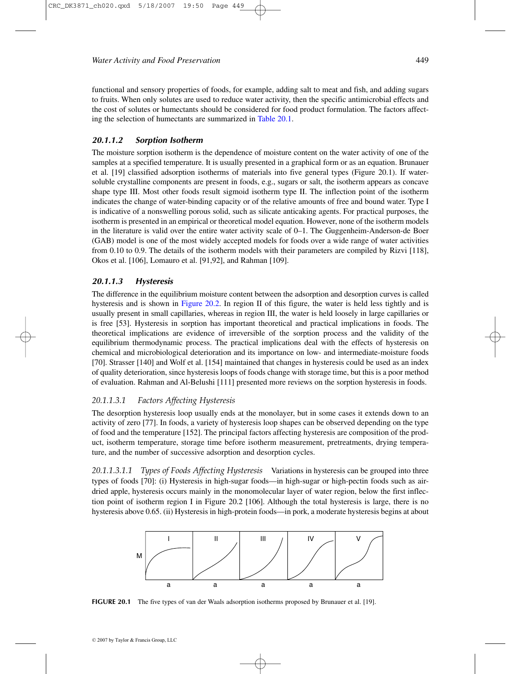<span id="page-2-0"></span>functional and sensory properties of foods, for example, adding salt to meat and fish, and adding sugars to fruits. When only solutes are used to reduce water activity, then the specific antimicrobial effects and the cost of solutes or humectants should be considered for food product formulation. The factors affecting the selection of humectants are summarized in [Table 20.1](#page-1-0).

# **20.1.1.2 Sorption Isotherm**

The moisture sorption isotherm is the dependence of moisture content on the water activity of one of the samples at a specified temperature. It is usually presented in a graphical form or as an equation. Brunauer et al. [19] classified adsorption isotherms of materials into five general types (Figure 20.1). If watersoluble crystalline components are present in foods, e.g., sugars or salt, the isotherm appears as concave shape type III. Most other foods result sigmoid isotherm type II. The inflection point of the isotherm indicates the change of water-binding capacity or of the relative amounts of free and bound water. Type I is indicative of a nonswelling porous solid, such as silicate anticaking agents. For practical purposes, the isotherm is presented in an empirical or theoretical model equation. However, none of the isotherm models in the literature is valid over the entire water activity scale of 0–1. The Guggenheim-Anderson-de Boer (GAB) model is one of the most widely accepted models for foods over a wide range of water activities from 0.10 to 0.9. The details of the isotherm models with their parameters are compiled by Rizvi [118], Okos et al. [106], Lomauro et al. [91,92], and Rahman [109].

# **20.1.1.3 Hysteresis**

The difference in the equilibrium moisture content between the adsorption and desorption curves is called hysteresis and is shown in [Figure 20.2](#page-3-0). In region II of this figure, the water is held less tightly and is usually present in small capillaries, whereas in region III, the water is held loosely in large capillaries or is free [53]. Hysteresis in sorption has important theoretical and practical implications in foods. The theoretical implications are evidence of irreversible of the sorption process and the validity of the equilibrium thermodynamic process. The practical implications deal with the effects of hysteresis on chemical and microbiological deterioration and its importance on low- and intermediate-moisture foods [70]. Strasser [140] and Wolf et al. [154] maintained that changes in hysteresis could be used as an index of quality deterioration, since hysteresis loops of foods change with storage time, but this is a poor method of evaluation. Rahman and Al-Belushi [111] presented more reviews on the sorption hysteresis in foods.

# *20.1.1.3.1 Factors Affecting Hysteresis*

The desorption hysteresis loop usually ends at the monolayer, but in some cases it extends down to an activity of zero [77]. In foods, a variety of hysteresis loop shapes can be observed depending on the type of food and the temperature [152]. The principal factors affecting hysteresis are composition of the product, isotherm temperature, storage time before isotherm measurement, pretreatments, drying temperature, and the number of successive adsorption and desorption cycles.

*20.1.1.3.1.1 Types of Foods Affecting Hysteresis* Variations in hysteresis can be grouped into three types of foods [70]: (i) Hysteresis in high-sugar foods—in high-sugar or high-pectin foods such as airdried apple, hysteresis occurs mainly in the monomolecular layer of water region, below the first inflection point of isotherm region I in Figure 20.2 [106]. Although the total hysteresis is large, there is no hysteresis above 0.65. (ii) Hysteresis in high-protein foods—in pork, a moderate hysteresis begins at about



**FIGURE 20.1** The five types of van der Waals adsorption isotherms proposed by Brunauer et al. [19].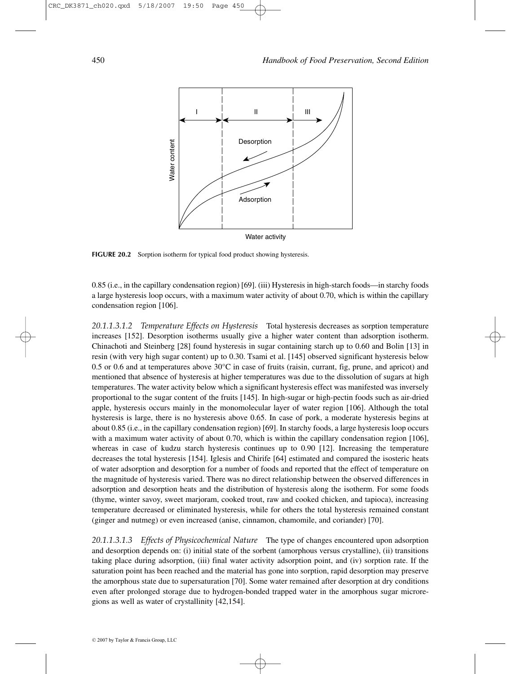<span id="page-3-0"></span>

FIGURE 20.2 Sorption isotherm for typical food product showing hysteresis.

0.85 (i.e., in the capillary condensation region) [69]. (iii) Hysteresis in high-starch foods—in starchy foods a large hysteresis loop occurs, with a maximum water activity of about 0.70, which is within the capillary condensation region [106].

*20.1.1.3.1.2 Temperature Effects on Hysteresis* Total hysteresis decreases as sorption temperature increases [152]. Desorption isotherms usually give a higher water content than adsorption isotherm. Chinachoti and Steinberg [28] found hysteresis in sugar containing starch up to 0.60 and Bolin [13] in resin (with very high sugar content) up to 0.30. Tsami et al. [145] observed significant hysteresis below 0.5 or 0.6 and at temperatures above  $30^{\circ}$ C in case of fruits (raisin, currant, fig, prune, and apricot) and mentioned that absence of hysteresis at higher temperatures was due to the dissolution of sugars at high temperatures. The water activity below which a significant hysteresis effect was manifested was inversely proportional to the sugar content of the fruits [145]. In high-sugar or high-pectin foods such as air-dried apple, hysteresis occurs mainly in the monomolecular layer of water region [106]. Although the total hysteresis is large, there is no hysteresis above 0.65. In case of pork, a moderate hysteresis begins at about 0.85 (i.e., in the capillary condensation region) [69]. In starchy foods, a large hysteresis loop occurs with a maximum water activity of about 0.70, which is within the capillary condensation region [106], whereas in case of kudzu starch hysteresis continues up to 0.90 [12]. Increasing the temperature decreases the total hysteresis [154]. Iglesis and Chirife [64] estimated and compared the isosteric heats of water adsorption and desorption for a number of foods and reported that the effect of temperature on the magnitude of hysteresis varied. There was no direct relationship between the observed differences in adsorption and desorption heats and the distribution of hysteresis along the isotherm. For some foods (thyme, winter savoy, sweet marjoram, cooked trout, raw and cooked chicken, and tapioca), increasing temperature decreased or eliminated hysteresis, while for others the total hysteresis remained constant (ginger and nutmeg) or even increased (anise, cinnamon, chamomile, and coriander) [70].

*20.1.1.3.1.3 Effects of Physicochemical Nature* The type of changes encountered upon adsorption and desorption depends on: (i) initial state of the sorbent (amorphous versus crystalline), (ii) transitions taking place during adsorption, (iii) final water activity adsorption point, and (iv) sorption rate. If the saturation point has been reached and the material has gone into sorption, rapid desorption may preserve the amorphous state due to supersaturation [70]. Some water remained after desorption at dry conditions even after prolonged storage due to hydrogen-bonded trapped water in the amorphous sugar microregions as well as water of crystallinity [42,154].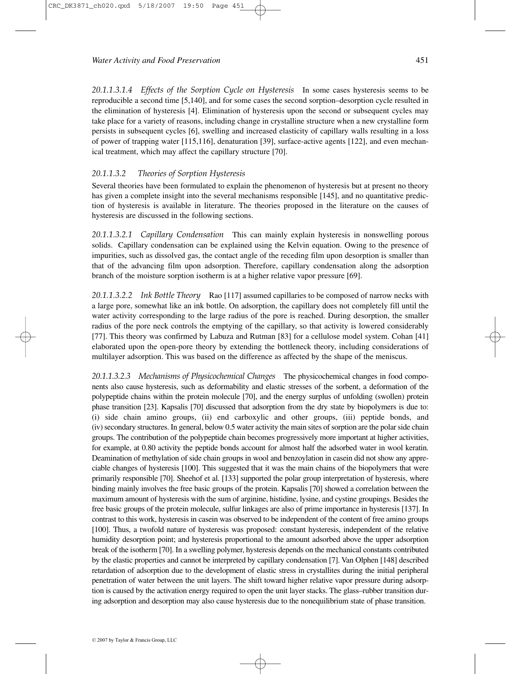*20.1.1.3.1.4 Effects of the Sorption Cycle on Hysteresis* In some cases hysteresis seems to be reproducible a second time [5,140], and for some cases the second sorption–desorption cycle resulted in the elimination of hysteresis [4]. Elimination of hysteresis upon the second or subsequent cycles may take place for a variety of reasons, including change in crystalline structure when a new crystalline form persists in subsequent cycles [6], swelling and increased elasticity of capillary walls resulting in a loss of power of trapping water [115,116], denaturation [39], surface-active agents [122], and even mechanical treatment, which may affect the capillary structure [70].

# *20.1.1.3.2 Theories of Sorption Hysteresis*

Several theories have been formulated to explain the phenomenon of hysteresis but at present no theory has given a complete insight into the several mechanisms responsible [145], and no quantitative prediction of hysteresis is available in literature. The theories proposed in the literature on the causes of hysteresis are discussed in the following sections.

*20.1.1.3.2.1 Capillary Condensation* This can mainly explain hysteresis in nonswelling porous solids. Capillary condensation can be explained using the Kelvin equation. Owing to the presence of impurities, such as dissolved gas, the contact angle of the receding film upon desorption is smaller than that of the advancing film upon adsorption. Therefore, capillary condensation along the adsorption branch of the moisture sorption isotherm is at a higher relative vapor pressure [69].

*20.1.1.3.2.2 Ink Bottle Theory* Rao [117] assumed capillaries to be composed of narrow necks with a large pore, somewhat like an ink bottle. On adsorption, the capillary does not completely fill until the water activity corresponding to the large radius of the pore is reached. During desorption, the smaller radius of the pore neck controls the emptying of the capillary, so that activity is lowered considerably [77]. This theory was confirmed by Labuza and Rutman [83] for a cellulose model system. Cohan [41] elaborated upon the open-pore theory by extending the bottleneck theory, including considerations of multilayer adsorption. This was based on the difference as affected by the shape of the meniscus.

*20.1.1.3.2.3 Mechanisms of Physicochemical Changes* The physicochemical changes in food components also cause hysteresis, such as deformability and elastic stresses of the sorbent, a deformation of the polypeptide chains within the protein molecule [70], and the energy surplus of unfolding (swollen) protein phase transition [23]. Kapsalis [70] discussed that adsorption from the dry state by biopolymers is due to: (i) side chain amino groups, (ii) end carboxylic and other groups, (iii) peptide bonds, and (iv) secondary structures. In general, below 0.5 water activity the main sites of sorption are the polar side chain groups. The contribution of the polypeptide chain becomes progressively more important at higher activities, for example, at 0.80 activity the peptide bonds account for almost half the adsorbed water in wool keratin. Deamination of methylation of side chain groups in wool and benzoylation in casein did not show any appreciable changes of hysteresis [100]. This suggested that it was the main chains of the biopolymers that were primarily responsible [70]. Sheehof et al. [133] supported the polar group interpretation of hysteresis, where binding mainly involves the free basic groups of the protein. Kapsalis [70] showed a correlation between the maximum amount of hysteresis with the sum of arginine, histidine, lysine, and cystine groupings. Besides the free basic groups of the protein molecule, sulfur linkages are also of prime importance in hysteresis [137]. In contrast to this work, hysteresis in casein was observed to be independent of the content of free amino groups [100]. Thus, a twofold nature of hysteresis was proposed: constant hysteresis, independent of the relative humidity desorption point; and hysteresis proportional to the amount adsorbed above the upper adsorption break of the isotherm [70]. In a swelling polymer, hysteresis depends on the mechanical constants contributed by the elastic properties and cannot be interpreted by capillary condensation [7]. Van Olphen [148] described retardation of adsorption due to the development of elastic stress in crystallites during the initial peripheral penetration of water between the unit layers. The shift toward higher relative vapor pressure during adsorption is caused by the activation energy required to open the unit layer stacks. The glass–rubber transition during adsorption and desorption may also cause hysteresis due to the nonequilibrium state of phase transition.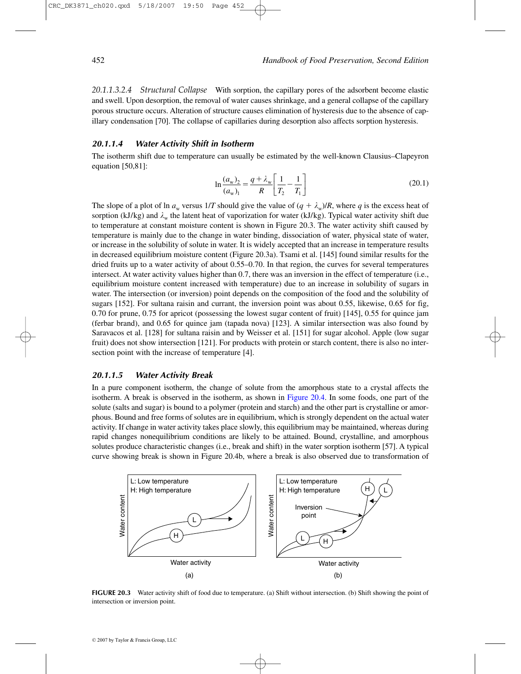<span id="page-5-0"></span>*20.1.1.3.2.4 Structural Collapse* With sorption, the capillary pores of the adsorbent become elastic and swell. Upon desorption, the removal of water causes shrinkage, and a general collapse of the capillary porous structure occurs. Alteration of structure causes elimination of hysteresis due to the absence of capillary condensation [70]. The collapse of capillaries during desorption also affects sorption hysteresis.

## **20.1.1.4 Water Activity Shift in Isotherm**

The isotherm shift due to temperature can usually be estimated by the well-known Clausius–Clapeyron equation [50,81]:

$$
\ln \frac{(a_w)_2}{(a_w)_1} = \frac{q + \lambda_w}{R} \left[ \frac{1}{T_2} - \frac{1}{T_1} \right]
$$
 (20.1)

The slope of a plot of ln  $a_w$  versus 1/*T* should give the value of  $(q + \lambda_w)/R$ , where *q* is the excess heat of sorption (kJ/kg) and  $\lambda_w$  the latent heat of vaporization for water (kJ/kg). Typical water activity shift due to temperature at constant moisture content is shown in Figure 20.3. The water activity shift caused by temperature is mainly due to the change in water binding, dissociation of water, physical state of water, or increase in the solubility of solute in water. It is widely accepted that an increase in temperature results in decreased equilibrium moisture content (Figure 20.3a). Tsami et al. [145] found similar results for the dried fruits up to a water activity of about 0.55–0.70. In that region, the curves for several temperatures intersect. At water activity values higher than 0.7, there was an inversion in the effect of temperature (i.e., equilibrium moisture content increased with temperature) due to an increase in solubility of sugars in water. The intersection (or inversion) point depends on the composition of the food and the solubility of sugars [152]. For sultana raisin and currant, the inversion point was about 0.55, likewise, 0.65 for fig, 0.70 for prune, 0.75 for apricot (possessing the lowest sugar content of fruit) [145], 0.55 for quince jam (ferbar brand), and 0.65 for quince jam (tapada nova) [123]. A similar intersection was also found by Saravacos et al. [128] for sultana raisin and by Weisser et al. [151] for sugar alcohol. Apple (low sugar fruit) does not show intersection [121]. For products with protein or starch content, there is also no intersection point with the increase of temperature [4].

#### **20.1.1.5 Water Activity Break**

In a pure component isotherm, the change of solute from the amorphous state to a crystal affects the isotherm. A break is observed in the isotherm, as shown in [Figure 20.4](#page-6-0). In some foods, one part of the solute (salts and sugar) is bound to a polymer (protein and starch) and the other part is crystalline or amorphous. Bound and free forms of solutes are in equilibrium, which is strongly dependent on the actual water activity. If change in water activity takes place slowly, this equilibrium may be maintained, whereas during rapid changes nonequilibrium conditions are likely to be attained. Bound, crystalline, and amorphous solutes produce characteristic changes (i.e., break and shift) in the water sorption isotherm [57]. A typical curve showing break is shown in Figure 20.4b, where a break is also observed due to transformation of



**FIGURE 20.3** Water activity shift of food due to temperature. (a) Shift without intersection. (b) Shift showing the point of intersection or inversion point.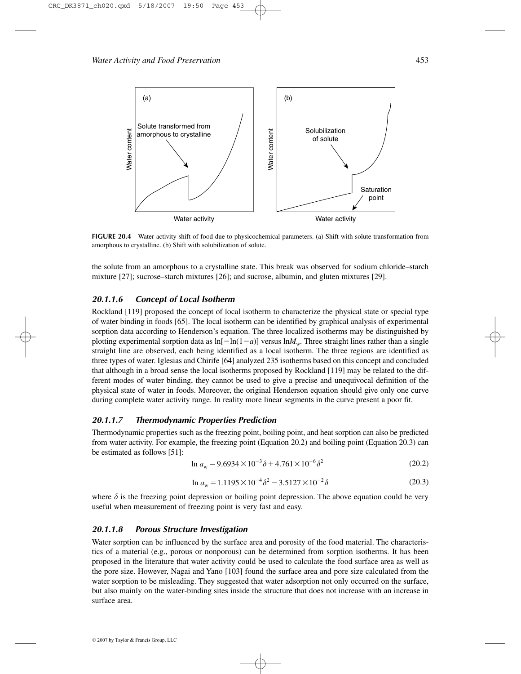<span id="page-6-0"></span>

**FIGURE 20.4** Water activity shift of food due to physicochemical parameters. (a) Shift with solute transformation from amorphous to crystalline. (b) Shift with solubilization of solute.

the solute from an amorphous to a crystalline state. This break was observed for sodium chloride–starch mixture [27]; sucrose–starch mixtures [26]; and sucrose, albumin, and gluten mixtures [29].

# **20.1.1.6 Concept of Local Isotherm**

Rockland [119] proposed the concept of local isotherm to characterize the physical state or special type of water binding in foods [65]. The local isotherm can be identified by graphical analysis of experimental sorption data according to Henderson's equation. The three localized isotherms may be distinguished by plotting experimental sorption data as  $\ln[-\ln(1-a)]$  versus  $\ln M_w$ . Three straight lines rather than a single straight line are observed, each being identified as a local isotherm. The three regions are identified as three types of water. Iglesias and Chirife [64] analyzed 235 isotherms based on this concept and concluded that although in a broad sense the local isotherms proposed by Rockland [119] may be related to the different modes of water binding, they cannot be used to give a precise and unequivocal definition of the physical state of water in foods. Moreover, the original Henderson equation should give only one curve during complete water activity range. In reality more linear segments in the curve present a poor fit.

#### **20.1.1.7 Thermodynamic Properties Prediction**

Thermodynamic properties such as the freezing point, boiling point, and heat sorption can also be predicted from water activity. For example, the freezing point (Equation 20.2) and boiling point (Equation 20.3) can be estimated as follows [51]:

$$
\ln a_w = 9.6934 \times 10^{-3} \delta + 4.761 \times 10^{-6} \delta^2 \tag{20.2}
$$

$$
\ln a_{\rm w} = 1.1195 \times 10^{-4} \delta^2 - 3.5127 \times 10^{-2} \delta \tag{20.3}
$$

where  $\delta$  is the freezing point depression or boiling point depression. The above equation could be very useful when measurement of freezing point is very fast and easy.

#### **20.1.1.8 Porous Structure Investigation**

Water sorption can be influenced by the surface area and porosity of the food material. The characteristics of a material (e.g., porous or nonporous) can be determined from sorption isotherms. It has been proposed in the literature that water activity could be used to calculate the food surface area as well as the pore size. However, Nagai and Yano [103] found the surface area and pore size calculated from the water sorption to be misleading. They suggested that water adsorption not only occurred on the surface, but also mainly on the water-binding sites inside the structure that does not increase with an increase in surface area.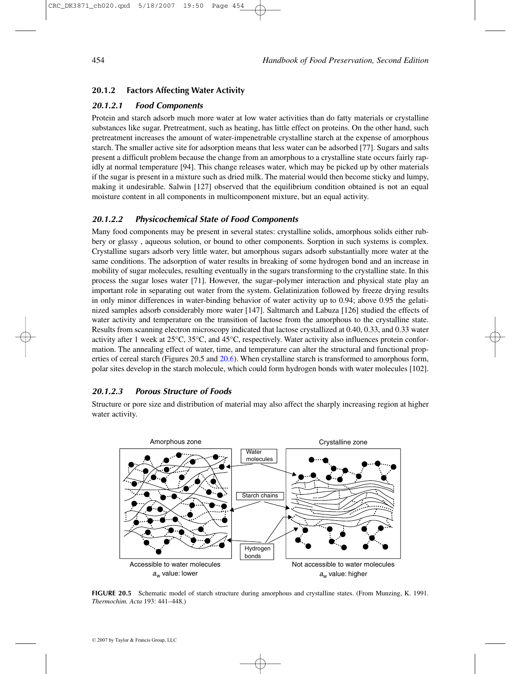# <span id="page-7-0"></span>**20.1.2 Factors Affecting Water Activity**

# **20.1.2.1 Food Components**

Protein and starch adsorb much more water at low water activities than do fatty materials or crystalline substances like sugar. Pretreatment, such as heating, has little effect on proteins. On the other hand, such pretreatment increases the amount of water-impenetrable crystalline starch at the expense of amorphous starch. The smaller active site for adsorption means that less water can be adsorbed [77]. Sugars and salts present a difficult problem because the change from an amorphous to a crystalline state occurs fairly rapidly at normal temperature [94]. This change releases water, which may be picked up by other materials if the sugar is present in a mixture such as dried milk. The material would then become sticky and lumpy, making it undesirable. Salwin [127] observed that the equilibrium condition obtained is not an equal moisture content in all components in multicomponent mixture, but an equal activity.

# **20.1.2.2 Physicochemical State of Food Components**

Many food components may be present in several states: crystalline solids, amorphous solids either rubbery or glassy , aqueous solution, or bound to other components. Sorption in such systems is complex. Crystalline sugars adsorb very little water, but amorphous sugars adsorb substantially more water at the same conditions. The adsorption of water results in breaking of some hydrogen bond and an increase in mobility of sugar molecules, resulting eventually in the sugars transforming to the crystalline state. In this process the sugar loses water [71]. However, the sugar–polymer interaction and physical state play an important role in separating out water from the system. Gelatinization followed by freeze drying results in only minor differences in water-binding behavior of water activity up to 0.94; above 0.95 the gelatinized samples adsorb considerably more water [147]. Saltmarch and Labuza [126] studied the effects of water activity and temperature on the transition of lactose from the amorphous to the crystalline state. Results from scanning electron microscopy indicated that lactose crystallized at 0.40, 0.33, and 0.33 water activity after 1 week at 25°C, 35°C, and 45°C, respectively. Water activity also influences protein conformation. The annealing effect of water, time, and temperature can alter the structural and functional prop-erties of cereal starch (Figures 20.5 and [20.6](#page-8-0)). When crystalline starch is transformed to amorphous form, polar sites develop in the starch molecule, which could form hydrogen bonds with water molecules [102].

# **20.1.2.3 Porous Structure of Foods**

Structure or pore size and distribution of material may also affect the sharply increasing region at higher water activity.



**FIGURE 20.5** Schematic model of starch structure during amorphous and crystalline states. (From Munzing, K. 1991. *Thermochim. Acta* 193: 441–448.)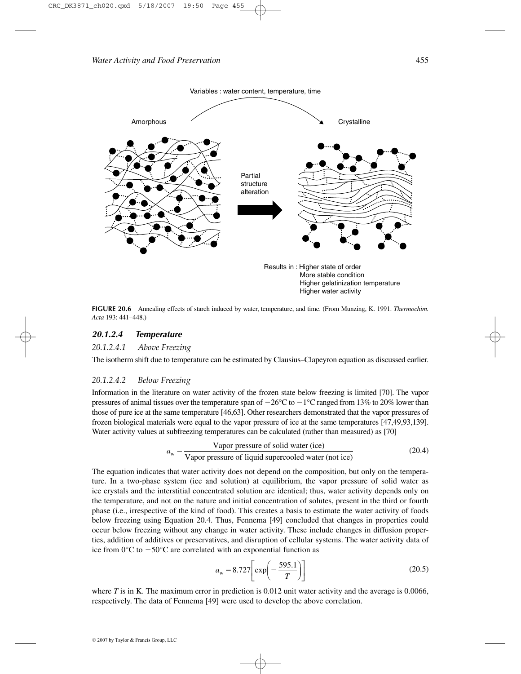<span id="page-8-0"></span>

**FIGURE 20.6** Annealing effects of starch induced by water, temperature, and time. (From Munzing, K. 1991. *Thermochim. Acta* 193: 441–448.)

# **20.1.2.4 Temperature**

# *20.1.2.4.1 Above Freezing*

The isotherm shift due to temperature can be estimated by Clausius–Clapeyron equation as discussed earlier.

## *20.1.2.4.2 Below Freezing*

Information in the literature on water activity of the frozen state below freezing is limited [70]. The vapor pressures of animal tissues over the temperature span of  $-26^{\circ}\text{C}$  to  $-1^{\circ}\text{C}$  ranged from 13% to 20% lower than those of pure ice at the same temperature [46,63]. Other researchers demonstrated that the vapor pressures of frozen biological materials were equal to the vapor pressure of ice at the same temperatures [47,49,93,139]. Water activity values at subfreezing temperatures can be calculated (rather than measured) as [70]

$$
a_{\rm w} = \frac{\text{Vapor pressure of solid water (ice)}}{\text{Vapor pressure of liquid supercooled water (not ice)}}\tag{20.4}
$$

The equation indicates that water activity does not depend on the composition, but only on the temperature. In a two-phase system (ice and solution) at equilibrium, the vapor pressure of solid water as ice crystals and the interstitial concentrated solution are identical; thus, water activity depends only on the temperature, and not on the nature and initial concentration of solutes, present in the third or fourth phase (i.e., irrespective of the kind of food). This creates a basis to estimate the water activity of foods below freezing using Equation 20.4. Thus, Fennema [49] concluded that changes in properties could occur below freezing without any change in water activity. These include changes in diffusion properties, addition of additives or preservatives, and disruption of cellular systems. The water activity data of ice from  $0^{\circ}$ C to  $-50^{\circ}$ C are correlated with an exponential function as

$$
a_{\rm w} = 8.727 \left[ \exp\left(-\frac{595.1}{T}\right) \right]
$$
 (20.5)

where *T* is in K. The maximum error in prediction is 0.012 unit water activity and the average is 0.0066, respectively. The data of Fennema [49] were used to develop the above correlation.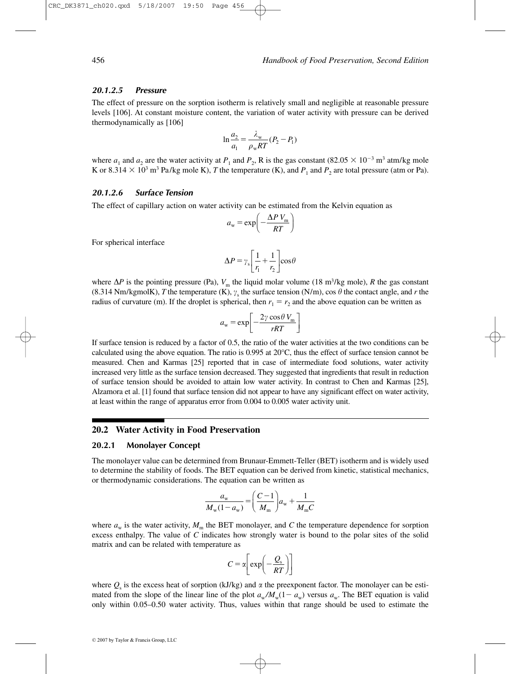#### <span id="page-9-0"></span>**20.1.2.5 Pressure**

The effect of pressure on the sorption isotherm is relatively small and negligible at reasonable pressure levels [106]. At constant moisture content, the variation of water activity with pressure can be derived thermodynamically as [106]

$$
\ln \frac{a_2}{a_1} = \frac{\lambda_{\rm w}}{\rho_{\rm w} RT} (P_2 - P_1)
$$

where  $a_1$  and  $a_2$  are the water activity at  $P_1$  and  $P_2$ , R is the gas constant (82.05  $\times$  10<sup>-3</sup> m<sup>3</sup> atm/kg mole K or 8.314  $\times$  10<sup>3</sup> m<sup>3</sup> Pa/kg mole K), *T* the temperature (K), and *P*<sub>1</sub> and *P*<sub>2</sub> are total pressure (atm or Pa).

#### **20.1.2.6 Surface Tension**

The effect of capillary action on water activity can be estimated from the Kelvin equation as

$$
a_{\rm w} = \exp\left(-\frac{\Delta P V_{\rm m}}{RT}\right)
$$

For spherical interface

$$
\Delta P = \gamma_s \left[ \frac{1}{r_1} + \frac{1}{r_2} \right] \cos \theta
$$

where  $\Delta P$  is the pointing pressure (Pa),  $V_m$  the liquid molar volume (18 m<sup>3</sup>/kg mole), *R* the gas constant (8.314 Nm/kgmolK), *T* the temperature (K),  $\gamma_s$  the surface tension (N/m), cos  $\theta$  the contact angle, and *r* the radius of curvature (m). If the droplet is spherical, then  $r_1 = r_2$  and the above equation can be written as

$$
a_{\rm w} = \exp\left[-\frac{2\gamma\cos\theta\,V_{\rm m}}{rRT}\right]
$$

If surface tension is reduced by a factor of 0.5, the ratio of the water activities at the two conditions can be calculated using the above equation. The ratio is 0.995 at 20°C, thus the effect of surface tension cannot be measured. Chen and Karmas [25] reported that in case of intermediate food solutions, water activity increased very little as the surface tension decreased. They suggested that ingredients that result in reduction of surface tension should be avoided to attain low water activity. In contrast to Chen and Karmas [25], Alzamora et al. [1] found that surface tension did not appear to have any significant effect on water activity, at least within the range of apparatus error from 0.004 to 0.005 water activity unit.

# **20.2 Water Activity in Food Preservation**

#### **20.2.1 Monolayer Concept**

The monolayer value can be determined from Brunaur-Emmett-Teller (BET) isotherm and is widely used to determine the stability of foods. The BET equation can be derived from kinetic, statistical mechanics, or thermodynamic considerations. The equation can be written as

$$
\frac{a_{\rm w}}{M_{\rm w}(1-a_{\rm w})} = \left(\frac{C-1}{M_{\rm m}}\right) a_{\rm w} + \frac{1}{M_{\rm m}C}
$$

where  $a_w$  is the water activity,  $M_m$  the BET monolayer, and C the temperature dependence for sorption excess enthalpy. The value of *C* indicates how strongly water is bound to the polar sites of the solid matrix and can be related with temperature as

$$
C = \alpha \left[ \exp \left( -\frac{Q_{\rm s}}{RT} \right) \right]
$$

where  $Q_s$  is the excess heat of sorption (kJ/kg) and  $\alpha$  the preexponent factor. The monolayer can be estimated from the slope of the linear line of the plot  $a_w / M_w(1 - a_w)$  versus  $a_w$ . The BET equation is valid only within 0.05–0.50 water activity. Thus, values within that range should be used to estimate the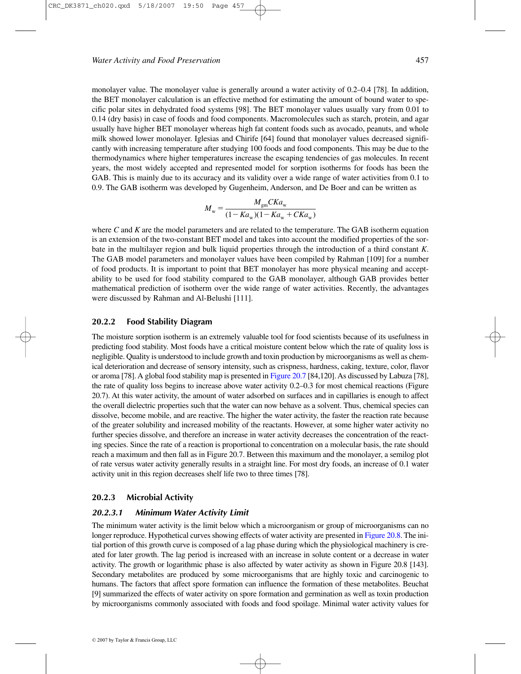<span id="page-10-0"></span>monolayer value. The monolayer value is generally around a water activity of 0.2–0.4 [78]. In addition, the BET monolayer calculation is an effective method for estimating the amount of bound water to specific polar sites in dehydrated food systems [98]. The BET monolayer values usually vary from 0.01 to 0.14 (dry basis) in case of foods and food components. Macromolecules such as starch, protein, and agar usually have higher BET monolayer whereas high fat content foods such as avocado, peanuts, and whole milk showed lower monolayer. Iglesias and Chirife [64] found that monolayer values decreased significantly with increasing temperature after studying 100 foods and food components. This may be due to the thermodynamics where higher temperatures increase the escaping tendencies of gas molecules. In recent years, the most widely accepted and represented model for sorption isotherms for foods has been the GAB. This is mainly due to its accuracy and its validity over a wide range of water activities from 0.1 to 0.9. The GAB isotherm was developed by Gugenheim, Anderson, and De Boer and can be written as

$$
M_{\rm w} = \frac{M_{\rm gm} C K a_{\rm w}}{(1 - K a_{\rm w})(1 - K a_{\rm w} + C K a_{\rm w})}
$$

where *C* and *K* are the model parameters and are related to the temperature. The GAB isotherm equation is an extension of the two-constant BET model and takes into account the modified properties of the sorbate in the multilayer region and bulk liquid properties through the introduction of a third constant *K*. The GAB model parameters and monolayer values have been compiled by Rahman [109] for a number of food products. It is important to point that BET monolayer has more physical meaning and acceptability to be used for food stability compared to the GAB monolayer, although GAB provides better mathematical prediction of isotherm over the wide range of water activities. Recently, the advantages were discussed by Rahman and Al-Belushi [111].

## **20.2.2 Food Stability Diagram**

The moisture sorption isotherm is an extremely valuable tool for food scientists because of its usefulness in predicting food stability. Most foods have a critical moisture content below which the rate of quality loss is negligible. Quality is understood to include growth and toxin production by microorganisms as well as chemical deterioration and decrease of sensory intensity, such as crispness, hardness, caking, texture, color, flavor or aroma [78]. A global food stability map is presented in [Figure 20.7](#page-11-0) [84,120]. As discussed by Labuza [78], the rate of quality loss begins to increase above water activity 0.2–0.3 for most chemical reactions (Figure 20.7). At this water activity, the amount of water adsorbed on surfaces and in capillaries is enough to affect the overall dielectric properties such that the water can now behave as a solvent. Thus, chemical species can dissolve, become mobile, and are reactive. The higher the water activity, the faster the reaction rate because of the greater solubility and increased mobility of the reactants. However, at some higher water activity no further species dissolve, and therefore an increase in water activity decreases the concentration of the reacting species. Since the rate of a reaction is proportional to concentration on a molecular basis, the rate should reach a maximum and then fall as in Figure 20.7. Between this maximum and the monolayer, a semilog plot of rate versus water activity generally results in a straight line. For most dry foods, an increase of 0.1 water activity unit in this region decreases shelf life two to three times [78].

## **20.2.3 Microbial Activity**

## **20.2.3.1 Minimum Water Activity Limit**

The minimum water activity is the limit below which a microorganism or group of microorganisms can no longer reproduce. Hypothetical curves showing effects of water activity are presented in [Figure 20.8](#page-11-0). The initial portion of this growth curve is composed of a lag phase during which the physiological machinery is created for later growth. The lag period is increased with an increase in solute content or a decrease in water activity. The growth or logarithmic phase is also affected by water activity as shown in Figure 20.8 [143]. Secondary metabolites are produced by some microorganisms that are highly toxic and carcinogenic to humans. The factors that affect spore formation can influence the formation of these metabolites. Beuchat [9] summarized the effects of water activity on spore formation and germination as well as toxin production by microorganisms commonly associated with foods and food spoilage. Minimal water activity values for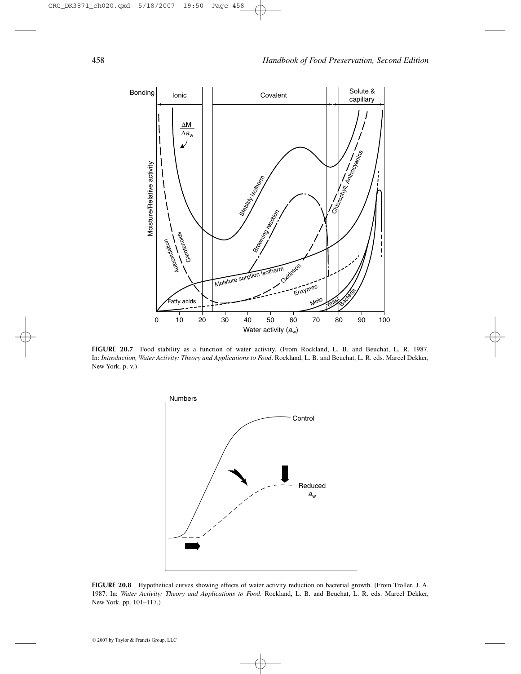<span id="page-11-0"></span>

**FIGURE 20.7** Food stability as a function of water activity. (From Rockland, L. B. and Beuchat, L. R. 1987. In: *Introduction, Water Activity: Theory and Applications to Food*. Rockland, L. B. and Beuchat, L. R. eds. Marcel Dekker, New York. p. v.)



**FIGURE 20.8** Hypothetical curves showing effects of water activity reduction on bacterial growth. (From Troller, J. A. 1987. In: *Water Activity: Theory and Applications to Food*. Rockland, L. B. and Beuchat, L. R. eds. Marcel Dekker, New York. pp. 101–117.)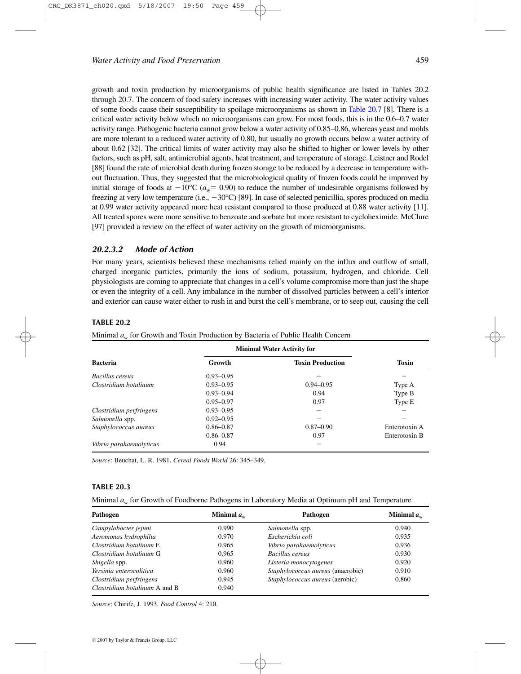<span id="page-12-0"></span>growth and toxin production by microorganisms of public health significance are listed in Tables 20.2 through 20.7. The concern of food safety increases with increasing water activity. The water activity values of some foods cause their susceptibility to spoilage microorganisms as shown in [Table 20.7](#page-14-0) [8]. There is a critical water activity below which no microorganisms can grow. For most foods, this is in the 0.6–0.7 water activity range. Pathogenic bacteria cannot grow below a water activity of 0.85–0.86, whereas yeast and molds are more tolerant to a reduced water activity of 0.80, but usually no growth occurs below a water activity of about 0.62 [32]. The critical limits of water activity may also be shifted to higher or lower levels by other factors, such as pH, salt, antimicrobial agents, heat treatment, and temperature of storage. Leistner and Rodel [88] found the rate of microbial death during frozen storage to be reduced by a decrease in temperature without fluctuation. Thus, they suggested that the microbiological quality of frozen foods could be improved by initial storage of foods at  $-10^{\circ}\text{C}$  ( $a_{w}$  = 0.90) to reduce the number of undesirable organisms followed by freezing at very low temperature (i.e.,  $-30^{\circ}$ C) [89]. In case of selected penicillia, spores produced on media at 0.99 water activity appeared more heat resistant compared to those produced at 0.88 water activity [11]. All treated spores were more sensitive to benzoate and sorbate but more resistant to cycloheximide. McClure [97] provided a review on the effect of water activity on the growth of microorganisms.

# **20.2.3.2 Mode of Action**

For many years, scientists believed these mechanisms relied mainly on the influx and outflow of small, charged inorganic particles, primarily the ions of sodium, potassium, hydrogen, and chloride. Cell physiologists are coming to appreciate that changes in a cell's volume compromise more than just the shape or even the integrity of a cell. Any imbalance in the number of dissolved particles between a cell's interior and exterior can cause water either to rush in and burst the cell's membrane, or to seep out, causing the cell

## **TABLE 20.2**

|                         | <b>Minimal Water Activity for</b> |                         |               |  |
|-------------------------|-----------------------------------|-------------------------|---------------|--|
| <b>Bacteria</b>         | Growth                            | <b>Toxin Production</b> | <b>Toxin</b>  |  |
| <b>Bacillus</b> cereus  | $0.93 - 0.95$                     |                         |               |  |
| Clostridium botulinum   | $0.93 - 0.95$                     | $0.94 - 0.95$           | Type A        |  |
|                         | $0.93 - 0.94$                     | 0.94                    | Type B        |  |
|                         | $0.95 - 0.97$                     | 0.97                    | Type E        |  |
| Clostridium perfringens | $0.93 - 0.95$                     |                         |               |  |
| Salmonella spp.         | $0.92 - 0.95$                     |                         |               |  |
| Staphylococcus aureus   | $0.86 - 0.87$                     | $0.87 - 0.90$           | Enterotoxin A |  |
|                         | $0.86 - 0.87$                     | 0.97                    | Enterotoxin B |  |
| Vibrio parahaemolyticus | 0.94                              |                         |               |  |

Minimal  $a_w$  for Growth and Toxin Production by Bacteria of Public Health Concern

*Source*: Beuchat, L. R. 1981. *Cereal Foods World* 26: 345–349.

#### **TABLE 20.3**

| Minimal $a_w$ for Growth of Foodborne Pathogens in Laboratory Media at Optimum pH and Temperature |  |
|---------------------------------------------------------------------------------------------------|--|
|---------------------------------------------------------------------------------------------------|--|

| Pathogen                      | Minimal $a_w$ | Pathogen                          | Minimal $a_w$ |
|-------------------------------|---------------|-----------------------------------|---------------|
| Campylobacter jejuni          | 0.990         | Salmonella spp.                   | 0.940         |
| Aeromonas hydrophilia         | 0.970         | Escherichia coli                  | 0.935         |
| Clostridium botulinum E       | 0.965         | Vibrio parahaemolyticus           | 0.936         |
| Clostridium botulinum G       | 0.965         | Bacillus cereus                   | 0.930         |
| Shigella spp.                 | 0.960         | Listeria monocytogenes            | 0.920         |
| Yersinia enterocolitica       | 0.960         | Staphylococcus aureus (anaerobic) | 0.910         |
| Clostridium perfringens       | 0.945         | Staphylococcus aureus (aerobic)   | 0.860         |
| Clostridium botulinum A and B | 0.940         |                                   |               |

*Source*: Chirife, J. 1993. *Food Control* 4: 210.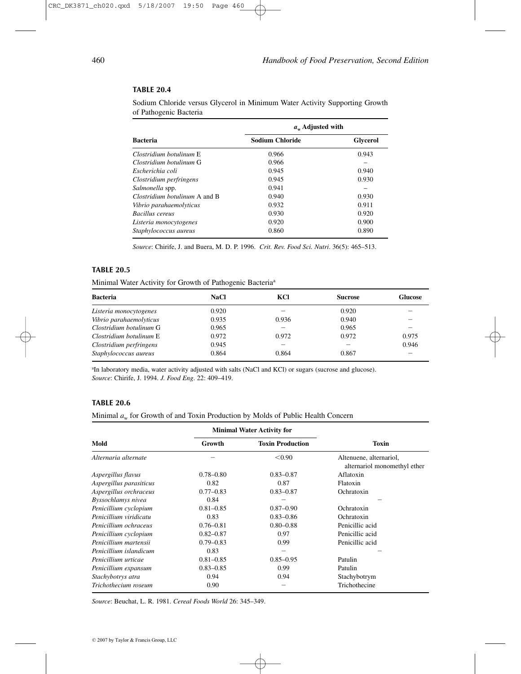|                               | $a_w$ Adjusted with |                 |  |
|-------------------------------|---------------------|-----------------|--|
| <b>Bacteria</b>               | Sodium Chloride     | <b>Glycerol</b> |  |
| Clostridium botulinum E       | 0.966               | 0.943           |  |
| Clostridium botulinum G       | 0.966               |                 |  |
| Escherichia coli              | 0.945               | 0.940           |  |
| Clostridium perfringens       | 0.945               | 0.930           |  |
| Salmonella spp.               | 0.941               |                 |  |
| Clostridium botulinum A and B | 0.940               | 0.930           |  |
| Vibrio parahaemolyticus       | 0.932               | 0.911           |  |
| Bacillus cereus               | 0.930               | 0.920           |  |
| Listeria monocytogenes        | 0.920               | 0.900           |  |
| Staphylococcus aureus         | 0.860               | 0.890           |  |

<span id="page-13-0"></span>Sodium Chloride versus Glycerol in Minimum Water Activity Supporting Growth of Pathogenic Bacteria

*Source*: Chirife, J. and Buera, M. D. P. 1996. *Crit. Rev. Food Sci. Nutri*. 36(5): 465–513.

#### **TABLE 20.5**

Minimal Water Activity for Growth of Pathogenic Bacteriaa

| <b>Bacteria</b>         | <b>NaCl</b> | KCI   | <b>Sucrose</b> | Glucose |
|-------------------------|-------------|-------|----------------|---------|
| Listeria monocytogenes  | 0.920       |       | 0.920          |         |
| Vibrio parahaemolyticus | 0.935       | 0.936 | 0.940          |         |
| Clostridium botulinum G | 0.965       |       | 0.965          |         |
| Clostridium botulinum E | 0.972       | 0.972 | 0.972          | 0.975   |
| Clostridium perfringens | 0.945       |       |                | 0.946   |
| Staphylococcus aureus   | 0.864       | 0.864 | 0.867          |         |

a In laboratory media, water activity adjusted with salts (NaCl and KCl) or sugars (sucrose and glucose). *Source*: Chirife, J. 1994. *J. Food Eng*. 22: 409–419.

# **TABLE 20.6**

Minimal  $a_w$  for Growth of and Toxin Production by Molds of Public Health Concern

|                         | <b>Minimal Water Activity for</b> |                         |                                                         |  |
|-------------------------|-----------------------------------|-------------------------|---------------------------------------------------------|--|
| Mold                    | Growth                            | <b>Toxin Production</b> | <b>Toxin</b>                                            |  |
| Alternaria alternate    |                                   | < 0.90                  | Altenuene, alternariol,<br>alternariol monomethyl ether |  |
| Aspergillus flavus      | $0.78 - 0.80$                     | $0.83 - 0.87$           | Aflatoxin                                               |  |
| Aspergillus parasiticus | 0.82                              | 0.87                    | Flatoxin                                                |  |
| Aspergillus orchraceus  | $0.77 - 0.83$                     | $0.83 - 0.87$           | Ochratoxin                                              |  |
| Byssochlamys nivea      | 0.84                              |                         |                                                         |  |
| Penicillium cyclopium   | $0.81 - 0.85$                     | $0.87 - 0.90$           | Ochratoxin                                              |  |
| Penicillium viridicatu  | 0.83                              | $0.83 - 0.86$           | Ochratoxin                                              |  |
| Penicillium ochraceus   | $0.76 - 0.81$                     | $0.80 - 0.88$           | Penicillic acid                                         |  |
| Penicillium cyclopium   | $0.82 - 0.87$                     | 0.97                    | Penicillic acid                                         |  |
| Penicillium martensii   | $0.79 - 0.83$                     | 0.99                    | Penicillic acid                                         |  |
| Penicillium islandicum  | 0.83                              |                         |                                                         |  |
| Penicillium urticae     | $0.81 - 0.85$                     | $0.85 - 0.95$           | Patulin                                                 |  |
| Penicillium expansum    | $0.83 - 0.85$                     | 0.99                    | Patulin                                                 |  |
| Stachybotrys atra       | 0.94                              | 0.94                    | Stachybotrym                                            |  |
| Trichothecium roseum    | 0.90                              |                         | Trichothecine                                           |  |

*Source*: Beuchat, L. R. 1981. *Cereal Foods World* 26: 345–349.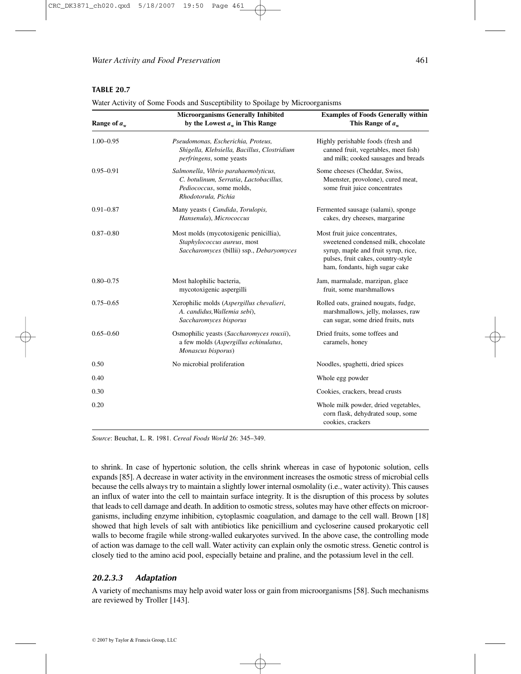<span id="page-14-0"></span>Water Activity of Some Foods and Susceptibility to Spoilage by Microorganisms

| Range of $a_w$ | <b>Microorganisms Generally Inhibited</b><br>by the Lowest $a_w$ in This Range                                                    | <b>Examples of Foods Generally within</b><br>This Range of $a_w$                                                                                                                     |
|----------------|-----------------------------------------------------------------------------------------------------------------------------------|--------------------------------------------------------------------------------------------------------------------------------------------------------------------------------------|
| $1.00 - 0.95$  | Pseudomonas, Escherichia, Proteus,<br>Shigella, Klebsiella, Bacillus, Clostridium<br><i>perfringens</i> , some yeasts             | Highly perishable foods (fresh and<br>canned fruit, vegetables, meet fish)<br>and milk; cooked sausages and breads                                                                   |
| $0.95 - 0.91$  | Salmonella, Vibrio parahaemolyticus,<br>C. botulinum, Serratia, Lactobacillus,<br>Pediococcus, some molds,<br>Rhodotorula, Pichia | Some cheeses (Cheddar, Swiss,<br>Muenster, provolone), cured meat,<br>some fruit juice concentrates                                                                                  |
| $0.91 - 0.87$  | Many yeasts ( <i>Candida</i> , <i>Torulopis</i> ,<br>Hansenula), Micrococcus                                                      | Fermented sausage (salami), sponge<br>cakes, dry cheeses, margarine                                                                                                                  |
| $0.87 - 0.80$  | Most molds (mycotoxigenic penicillia),<br>Staphylococcus aureus, most<br>Saccharomyces (billii) ssp., Debaryomyces                | Most fruit juice concentrates,<br>sweetened condensed milk, chocolate<br>syrup, maple and fruit syrup, rice,<br>pulses, fruit cakes, country-style<br>ham, fondants, high sugar cake |
| $0.80 - 0.75$  | Most halophilic bacteria,<br>mycotoxigenic aspergilli                                                                             | Jam, marmalade, marzipan, glace<br>fruit, some marshmallows                                                                                                                          |
| $0.75 - 0.65$  | Xerophilic molds (Aspergillus chevalieri,<br>A. candidus, Wallemia sebi),<br>Saccharomyces bisporus                               | Rolled oats, grained nougats, fudge,<br>marshmallows, jelly, molasses, raw<br>can sugar, some dried fruits, nuts                                                                     |
| $0.65 - 0.60$  | Osmophilic yeasts (Saccharomyces rouxii),<br>a few molds (Aspergillus echinulatus,<br>Monascus bisporus)                          | Dried fruits, some toffees and<br>caramels, honey                                                                                                                                    |
| 0.50           | No microbial proliferation                                                                                                        | Noodles, spaghetti, dried spices                                                                                                                                                     |
| 0.40           |                                                                                                                                   | Whole egg powder                                                                                                                                                                     |
| 0.30           |                                                                                                                                   | Cookies, crackers, bread crusts                                                                                                                                                      |
| 0.20           |                                                                                                                                   | Whole milk powder, dried vegetables,<br>corn flask, dehydrated soup, some<br>cookies, crackers                                                                                       |

*Source*: Beuchat, L. R. 1981. *Cereal Foods World* 26: 345–349.

to shrink. In case of hypertonic solution, the cells shrink whereas in case of hypotonic solution, cells expands [85]. A decrease in water activity in the environment increases the osmotic stress of microbial cells because the cells always try to maintain a slightly lower internal osmolality (i.e., water activity). This causes an influx of water into the cell to maintain surface integrity. It is the disruption of this process by solutes that leads to cell damage and death. In addition to osmotic stress, solutes may have other effects on microorganisms, including enzyme inhibition, cytoplasmic coagulation, and damage to the cell wall. Brown [18] showed that high levels of salt with antibiotics like penicillium and cycloserine caused prokaryotic cell walls to become fragile while strong-walled eukaryotes survived. In the above case, the controlling mode of action was damage to the cell wall. Water activity can explain only the osmotic stress. Genetic control is closely tied to the amino acid pool, especially betaine and praline, and the potassium level in the cell.

# **20.2.3.3 Adaptation**

A variety of mechanisms may help avoid water loss or gain from microorganisms [58]. Such mechanisms are reviewed by Troller [143].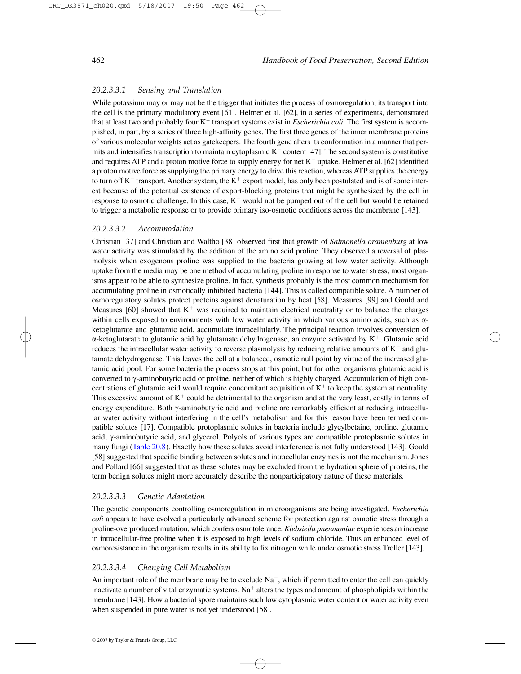# *20.2.3.3.1 Sensing and Translation*

While potassium may or may not be the trigger that initiates the process of osmoregulation, its transport into the cell is the primary modulatory event [61]. Helmer et al. [62], in a series of experiments, demonstrated that at least two and probably four K<sup>+</sup> transport systems exist in *Escherichia coli*. The first system is accomplished, in part, by a series of three high-affinity genes. The first three genes of the inner membrane proteins of various molecular weights act as gatekeepers. The fourth gene alters its conformation in a manner that permits and intensifies transcription to maintain cytoplasmic  $K^+$  content [47]. The second system is constitutive and requires ATP and a proton motive force to supply energy for net  $K^+$  uptake. Helmer et al. [62] identified a proton motive force as supplying the primary energy to drive this reaction, whereas ATP supplies the energy to turn off  $K^+$  transport. Another system, the  $K^+$  export model, has only been postulated and is of some interest because of the potential existence of export-blocking proteins that might be synthesized by the cell in response to osmotic challenge. In this case,  $K<sup>+</sup>$  would not be pumped out of the cell but would be retained to trigger a metabolic response or to provide primary iso-osmotic conditions across the membrane [143].

# *20.2.3.3.2 Accommodation*

Christian [37] and Christian and Waltho [38] observed first that growth of *Salmonella oranienburg* at low water activity was stimulated by the addition of the amino acid proline. They observed a reversal of plasmolysis when exogenous proline was supplied to the bacteria growing at low water activity. Although uptake from the media may be one method of accumulating proline in response to water stress, most organisms appear to be able to synthesize proline. In fact, synthesis probably is the most common mechanism for accumulating proline in osmotically inhibited bacteria [144]. This is called compatible solute. A number of osmoregulatory solutes protect proteins against denaturation by heat [58]. Measures [99] and Gould and Measures [60] showed that  $K^+$  was required to maintain electrical neutrality or to balance the charges within cells exposed to environments with low water activity in which various amino acids, such as  $\alpha$ ketoglutarate and glutamic acid, accumulate intracellularly. The principal reaction involves conversion of  $\alpha$ -ketoglutarate to glutamic acid by glutamate dehydrogenase, an enzyme activated by K<sup>+</sup>. Glutamic acid reduces the intracellular water activity to reverse plasmolysis by reducing relative amounts of  $K^+$  and glutamate dehydrogenase. This leaves the cell at a balanced, osmotic null point by virtue of the increased glutamic acid pool. For some bacteria the process stops at this point, but for other organisms glutamic acid is converted to  $\gamma$ -aminobutyric acid or proline, neither of which is highly charged. Accumulation of high concentrations of glutamic acid would require concomitant acquisition of  $K<sup>+</sup>$  to keep the system at neutrality. This excessive amount of  $K<sup>+</sup>$  could be detrimental to the organism and at the very least, costly in terms of energy expenditure. Both  $\gamma$ -aminobutyric acid and proline are remarkably efficient at reducing intracellular water activity without interfering in the cell's metabolism and for this reason have been termed compatible solutes [17]. Compatible protoplasmic solutes in bacteria include glycylbetaine, proline, glutamic acid,  $\gamma$ -aminobutyric acid, and glycerol. Polyols of various types are compatible protoplasmic solutes in many fungi [\(Table 20.8\)](#page-16-0). Exactly how these solutes avoid interference is not fully understood [143]. Gould [58] suggested that specific binding between solutes and intracellular enzymes is not the mechanism. Jones and Pollard [66] suggested that as these solutes may be excluded from the hydration sphere of proteins, the term benign solutes might more accurately describe the nonparticipatory nature of these materials.

# *20.2.3.3.3 Genetic Adaptation*

The genetic components controlling osmoregulation in microorganisms are being investigated. *Escherichia coli* appears to have evolved a particularly advanced scheme for protection against osmotic stress through a proline-overproduced mutation, which confers osmotolerance. *Klebsiella pneumoniae* experiences an increase in intracellular-free proline when it is exposed to high levels of sodium chloride. Thus an enhanced level of osmoresistance in the organism results in its ability to fix nitrogen while under osmotic stress Troller [143].

# *20.2.3.3.4 Changing Cell Metabolism*

An important role of the membrane may be to exclude  $Na^+$ , which if permitted to enter the cell can quickly inactivate a number of vital enzymatic systems. Na<sup>+</sup> alters the types and amount of phospholipids within the membrane [143]. How a bacterial spore maintains such low cytoplasmic water content or water activity even when suspended in pure water is not yet understood [58].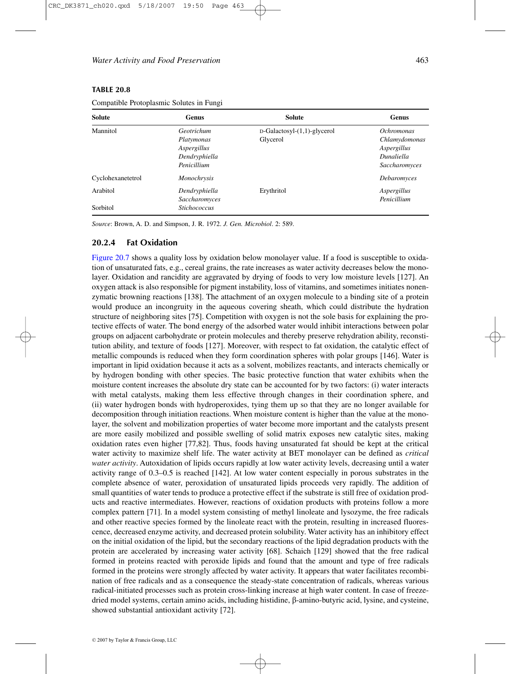#### <span id="page-16-0"></span>Compatible Protoplasmic Solutes in Fungi

| <b>Solute</b>     | Genus               | <b>Solute</b>                      | <b>Genus</b>      |
|-------------------|---------------------|------------------------------------|-------------------|
| Mannitol          | Geotrichum          | $D$ -Galactosyl- $(1,1)$ -glycerol | <i>Ochromonas</i> |
|                   | Platymonas          | Glycerol                           | Chlamydomonas     |
|                   | Aspergillus         |                                    | Aspergillus       |
|                   | Dendryphiella       |                                    | Dunaliella        |
|                   | Penicillium         |                                    | Saccharomyces     |
| Cyclohexanetetrol | Monochrysis         |                                    | Debaromyces       |
| Arabitol          | Dendryphiella       | Erythritol                         | Aspergillus       |
|                   | Saccharomyces       |                                    | Penicillium       |
| Sorbitol          | <b>Stichococcus</b> |                                    |                   |

*Source*: Brown, A. D. and Simpson, J. R. 1972. *J. Gen. Microbiol*. 2: 589.

#### **20.2.4 Fat Oxidation**

[Figure 20.7](#page-11-0) shows a quality loss by oxidation below monolayer value. If a food is susceptible to oxidation of unsaturated fats, e.g., cereal grains, the rate increases as water activity decreases below the monolayer. Oxidation and rancidity are aggravated by drying of foods to very low moisture levels [127]. An oxygen attack is also responsible for pigment instability, loss of vitamins, and sometimes initiates nonenzymatic browning reactions [138]. The attachment of an oxygen molecule to a binding site of a protein would produce an incongruity in the aqueous covering sheath, which could distribute the hydration structure of neighboring sites [75]. Competition with oxygen is not the sole basis for explaining the protective effects of water. The bond energy of the adsorbed water would inhibit interactions between polar groups on adjacent carbohydrate or protein molecules and thereby preserve rehydration ability, reconstitution ability, and texture of foods [127]. Moreover, with respect to fat oxidation, the catalytic effect of metallic compounds is reduced when they form coordination spheres with polar groups [146]. Water is important in lipid oxidation because it acts as a solvent, mobilizes reactants, and interacts chemically or by hydrogen bonding with other species. The basic protective function that water exhibits when the moisture content increases the absolute dry state can be accounted for by two factors: (i) water interacts with metal catalysts, making them less effective through changes in their coordination sphere, and (ii) water hydrogen bonds with hydroperoxides, tying them up so that they are no longer available for decomposition through initiation reactions. When moisture content is higher than the value at the monolayer, the solvent and mobilization properties of water become more important and the catalysts present are more easily mobilized and possible swelling of solid matrix exposes new catalytic sites, making oxidation rates even higher [77,82]. Thus, foods having unsaturated fat should be kept at the critical water activity to maximize shelf life. The water activity at BET monolayer can be defined as *critical water activity*. Autoxidation of lipids occurs rapidly at low water activity levels, decreasing until a water activity range of 0.3–0.5 is reached [142]. At low water content especially in porous substrates in the complete absence of water, peroxidation of unsaturated lipids proceeds very rapidly. The addition of small quantities of water tends to produce a protective effect if the substrate is still free of oxidation products and reactive intermediates. However, reactions of oxidation products with proteins follow a more complex pattern [71]. In a model system consisting of methyl linoleate and lysozyme, the free radicals and other reactive species formed by the linoleate react with the protein, resulting in increased fluorescence, decreased enzyme activity, and decreased protein solubility. Water activity has an inhibitory effect on the initial oxidation of the lipid, but the secondary reactions of the lipid degradation products with the protein are accelerated by increasing water activity [68]. Schaich [129] showed that the free radical formed in proteins reacted with peroxide lipids and found that the amount and type of free radicals formed in the proteins were strongly affected by water activity. It appears that water facilitates recombination of free radicals and as a consequence the steady-state concentration of radicals, whereas various radical-initiated processes such as protein cross-linking increase at high water content. In case of freezedried model systems, certain amino acids, including histidine,  $\beta$ -amino-butyric acid, lysine, and cysteine, showed substantial antioxidant activity [72].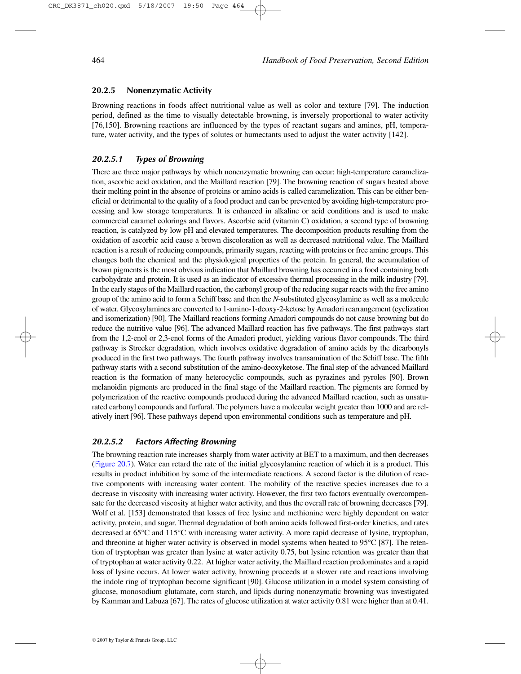## <span id="page-17-0"></span>**20.2.5 Nonenzymatic Activity**

Browning reactions in foods affect nutritional value as well as color and texture [79]. The induction period, defined as the time to visually detectable browning, is inversely proportional to water activity [76,150]. Browning reactions are influenced by the types of reactant sugars and amines, pH, temperature, water activity, and the types of solutes or humectants used to adjust the water activity [142].

## **20.2.5.1 Types of Browning**

There are three major pathways by which nonenzymatic browning can occur: high-temperature caramelization, ascorbic acid oxidation, and the Maillard reaction [79]. The browning reaction of sugars heated above their melting point in the absence of proteins or amino acids is called caramelization. This can be either beneficial or detrimental to the quality of a food product and can be prevented by avoiding high-temperature processing and low storage temperatures. It is enhanced in alkaline or acid conditions and is used to make commercial caramel colorings and flavors. Ascorbic acid (vitamin C) oxidation, a second type of browning reaction, is catalyzed by low pH and elevated temperatures. The decomposition products resulting from the oxidation of ascorbic acid cause a brown discoloration as well as decreased nutritional value. The Maillard reaction is a result of reducing compounds, primarily sugars, reacting with proteins or free amine groups. This changes both the chemical and the physiological properties of the protein. In general, the accumulation of brown pigments is the most obvious indication that Maillard browning has occurred in a food containing both carbohydrate and protein. It is used as an indicator of excessive thermal processing in the milk industry [79]. In the early stages of the Maillard reaction, the carbonyl group of the reducing sugar reacts with the free amino group of the amino acid to form a Schiff base and then the *N*-substituted glycosylamine as well as a molecule of water. Glycosylamines are converted to 1-amino-1-deoxy-2-ketose by Amadori rearrangement (cyclization and isomerization) [90]. The Maillard reactions forming Amadori compounds do not cause browning but do reduce the nutritive value [96]. The advanced Maillard reaction has five pathways. The first pathways start from the 1,2-enol or 2,3-enol forms of the Amadori product, yielding various flavor compounds. The third pathway is Strecker degradation, which involves oxidative degradation of amino acids by the dicarbonyls produced in the first two pathways. The fourth pathway involves transamination of the Schiff base. The fifth pathway starts with a second substitution of the amino-deoxyketose. The final step of the advanced Maillard reaction is the formation of many heterocyclic compounds, such as pyrazines and pyroles [90]. Brown melanoidin pigments are produced in the final stage of the Maillard reaction. The pigments are formed by polymerization of the reactive compounds produced during the advanced Maillard reaction, such as unsaturated carbonyl compounds and furfural. The polymers have a molecular weight greater than 1000 and are relatively inert [96]. These pathways depend upon environmental conditions such as temperature and pH.

# **20.2.5.2 Factors Affecting Browning**

The browning reaction rate increases sharply from water activity at BET to a maximum, and then decreases ([Figure 20.7](#page-11-0)). Water can retard the rate of the initial glycosylamine reaction of which it is a product. This results in product inhibition by some of the intermediate reactions. A second factor is the dilution of reactive components with increasing water content. The mobility of the reactive species increases due to a decrease in viscosity with increasing water activity. However, the first two factors eventually overcompensate for the decreased viscosity at higher water activity, and thus the overall rate of browning decreases [79]. Wolf et al. [153] demonstrated that losses of free lysine and methionine were highly dependent on water activity, protein, and sugar. Thermal degradation of both amino acids followed first-order kinetics, and rates decreased at 65°C and 115°C with increasing water activity. A more rapid decrease of lysine, tryptophan, and threonine at higher water activity is observed in model systems when heated to 95°C [87]. The retention of tryptophan was greater than lysine at water activity 0.75, but lysine retention was greater than that of tryptophan at water activity 0.22. At higher water activity, the Maillard reaction predominates and a rapid loss of lysine occurs. At lower water activity, browning proceeds at a slower rate and reactions involving the indole ring of tryptophan become significant [90]. Glucose utilization in a model system consisting of glucose, monosodium glutamate, corn starch, and lipids during nonenzymatic browning was investigated by Kamman and Labuza [67]. The rates of glucose utilization at water activity 0.81 were higher than at 0.41.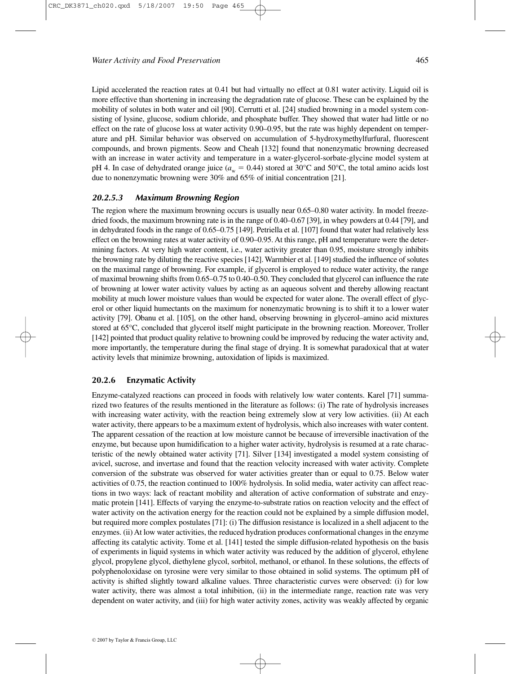<span id="page-18-0"></span>Lipid accelerated the reaction rates at 0.41 but had virtually no effect at 0.81 water activity. Liquid oil is more effective than shortening in increasing the degradation rate of glucose. These can be explained by the mobility of solutes in both water and oil [90]. Cerrutti et al. [24] studied browning in a model system consisting of lysine, glucose, sodium chloride, and phosphate buffer. They showed that water had little or no effect on the rate of glucose loss at water activity 0.90–0.95, but the rate was highly dependent on temperature and pH. Similar behavior was observed on accumulation of 5-hydroxymethylfurfural, fluorescent compounds, and brown pigments. Seow and Cheah [132] found that nonenzymatic browning decreased with an increase in water activity and temperature in a water-glycerol-sorbate-glycine model system at pH 4. In case of dehydrated orange juice ( $a_w = 0.44$ ) stored at 30°C and 50°C, the total amino acids lost due to nonenzymatic browning were 30% and 65% of initial concentration [21].

# **20.2.5.3 Maximum Browning Region**

The region where the maximum browning occurs is usually near 0.65–0.80 water activity. In model freezedried foods, the maximum browning rate is in the range of 0.40–0.67 [39], in whey powders at 0.44 [79], and in dehydrated foods in the range of 0.65–0.75 [149]. Petriella et al. [107] found that water had relatively less effect on the browning rates at water activity of 0.90–0.95. At this range, pH and temperature were the determining factors. At very high water content, i.e., water activity greater than 0.95, moisture strongly inhibits the browning rate by diluting the reactive species [142]. Warmbier et al. [149] studied the influence of solutes on the maximal range of browning. For example, if glycerol is employed to reduce water activity, the range of maximal browning shifts from 0.65–0.75 to 0.40–0.50. They concluded that glycerol can influence the rate of browning at lower water activity values by acting as an aqueous solvent and thereby allowing reactant mobility at much lower moisture values than would be expected for water alone. The overall effect of glycerol or other liquid humectants on the maximum for nonenzymatic browning is to shift it to a lower water activity [79]. Obanu et al. [105], on the other hand, observing browning in glycerol–amino acid mixtures stored at 65°C, concluded that glycerol itself might participate in the browning reaction. Moreover, Troller [142] pointed that product quality relative to browning could be improved by reducing the water activity and, more importantly, the temperature during the final stage of drying. It is somewhat paradoxical that at water activity levels that minimize browning, autoxidation of lipids is maximized.

## **20.2.6 Enzymatic Activity**

Enzyme-catalyzed reactions can proceed in foods with relatively low water contents. Karel [71] summarized two features of the results mentioned in the literature as follows: (i) The rate of hydrolysis increases with increasing water activity, with the reaction being extremely slow at very low activities. (ii) At each water activity, there appears to be a maximum extent of hydrolysis, which also increases with water content. The apparent cessation of the reaction at low moisture cannot be because of irreversible inactivation of the enzyme, but because upon humidification to a higher water activity, hydrolysis is resumed at a rate characteristic of the newly obtained water activity [71]. Silver [134] investigated a model system consisting of avicel, sucrose, and invertase and found that the reaction velocity increased with water activity. Complete conversion of the substrate was observed for water activities greater than or equal to 0.75. Below water activities of 0.75, the reaction continued to 100% hydrolysis. In solid media, water activity can affect reactions in two ways: lack of reactant mobility and alteration of active conformation of substrate and enzymatic protein [141]. Effects of varying the enzyme-to-substrate ratios on reaction velocity and the effect of water activity on the activation energy for the reaction could not be explained by a simple diffusion model, but required more complex postulates [71]: (i) The diffusion resistance is localized in a shell adjacent to the enzymes. (ii) At low water activities, the reduced hydration produces conformational changes in the enzyme affecting its catalytic activity. Tome et al. [141] tested the simple diffusion-related hypothesis on the basis of experiments in liquid systems in which water activity was reduced by the addition of glycerol, ethylene glycol, propylene glycol, diethylene glycol, sorbitol, methanol, or ethanol. In these solutions, the effects of polyphenoloxidase on tyrosine were very similar to those obtained in solid systems. The optimum pH of activity is shifted slightly toward alkaline values. Three characteristic curves were observed: (i) for low water activity, there was almost a total inhibition, (ii) in the intermediate range, reaction rate was very dependent on water activity, and (iii) for high water activity zones, activity was weakly affected by organic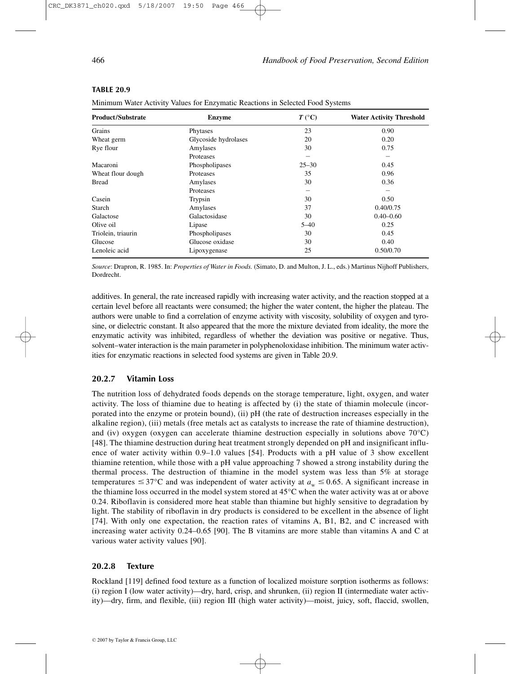| Minimum water Activity values for Enzymatic Reactions in Selected Food Systems |                      |           |                                 |  |
|--------------------------------------------------------------------------------|----------------------|-----------|---------------------------------|--|
| <b>Product/Substrate</b>                                                       | <b>Enzyme</b>        | $T$ (°C)  | <b>Water Activity Threshold</b> |  |
| Grains                                                                         | Phytases             | 23        | 0.90                            |  |
| Wheat germ                                                                     | Glycoside hydrolases | 20        | 0.20                            |  |
| Rye flour                                                                      | Amylases             | 30        | 0.75                            |  |
|                                                                                | Proteases            |           |                                 |  |
| Macaroni                                                                       | Phospholipases       | $25 - 30$ | 0.45                            |  |
| Wheat flour dough                                                              | Proteases            | 35        | 0.96                            |  |
| <b>Bread</b>                                                                   | Amylases             | 30        | 0.36                            |  |
|                                                                                | Proteases            |           |                                 |  |
| Casein                                                                         | Trypsin              | 30        | 0.50                            |  |
| Starch                                                                         | Amylases             | 37        | 0.40/0.75                       |  |
| Galactose                                                                      | Galactosidase        | 30        | $0.40 - 0.60$                   |  |
| Olive oil                                                                      | Lipase               | $5 - 40$  | 0.25                            |  |
| Triolein, triaurin                                                             | Phospholipases       | 30        | 0.45                            |  |
| Glucose                                                                        | Glucose oxidase      | 30        | 0.40                            |  |
| Lenoleic acid                                                                  | Lipoxygenase         | 25        | 0.50/0.70                       |  |

<span id="page-19-0"></span>Minimum Water Activity Values for Enzymatic Reactions in Selected Food Systems

*Source*: Drapron, R. 1985. In: *Properties of Water in Foods.* (Simato, D. and Multon, J. L., eds.) Martinus Nijhoff Publishers, Dordrecht.

additives. In general, the rate increased rapidly with increasing water activity, and the reaction stopped at a certain level before all reactants were consumed; the higher the water content, the higher the plateau. The authors were unable to find a correlation of enzyme activity with viscosity, solubility of oxygen and tyrosine, or dielectric constant. It also appeared that the more the mixture deviated from ideality, the more the enzymatic activity was inhibited, regardless of whether the deviation was positive or negative. Thus, solvent–water interaction is the main parameter in polyphenoloxidase inhibition. The minimum water activities for enzymatic reactions in selected food systems are given in Table 20.9.

## **20.2.7 Vitamin Loss**

The nutrition loss of dehydrated foods depends on the storage temperature, light, oxygen, and water activity. The loss of thiamine due to heating is affected by (i) the state of thiamin molecule (incorporated into the enzyme or protein bound), (ii) pH (the rate of destruction increases especially in the alkaline region), (iii) metals (free metals act as catalysts to increase the rate of thiamine destruction), and (iv) oxygen (oxygen can accelerate thiamine destruction especially in solutions above 70°C) [48]. The thiamine destruction during heat treatment strongly depended on pH and insignificant influence of water activity within 0.9–1.0 values [54]. Products with a pH value of 3 show excellent thiamine retention, while those with a pH value approaching 7 showed a strong instability during the thermal process. The destruction of thiamine in the model system was less than 5% at storage temperatures  $\leq 37^{\circ}$ C and was independent of water activity at  $a_w \leq 0.65$ . A significant increase in the thiamine loss occurred in the model system stored at 45°C when the water activity was at or above 0.24. Riboflavin is considered more heat stable than thiamine but highly sensitive to degradation by light. The stability of riboflavin in dry products is considered to be excellent in the absence of light [74]. With only one expectation, the reaction rates of vitamins A, B1, B2, and C increased with increasing water activity 0.24–0.65 [90]. The B vitamins are more stable than vitamins A and C at various water activity values [90].

## **20.2.8 Texture**

Rockland [119] defined food texture as a function of localized moisture sorption isotherms as follows: (i) region I (low water activity)—dry, hard, crisp, and shrunken, (ii) region II (intermediate water activity)—dry, firm, and flexible, (iii) region III (high water activity)—moist, juicy, soft, flaccid, swollen,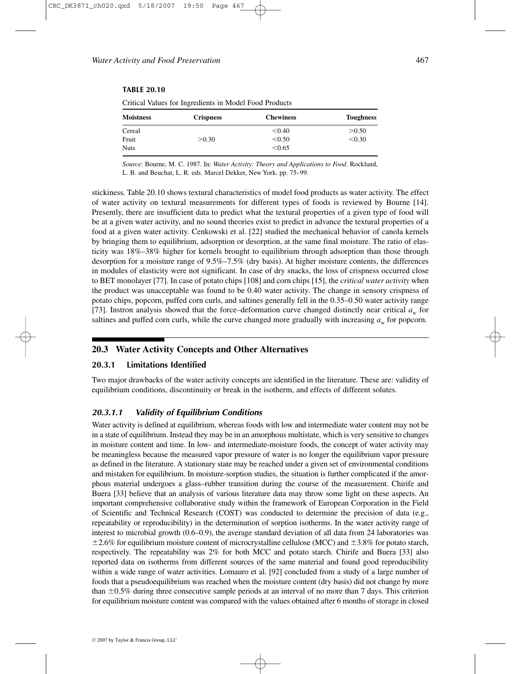| Critical Values for Ingredients in Model Food Products |                  |                  |                  |  |  |
|--------------------------------------------------------|------------------|------------------|------------------|--|--|
| <b>Moistness</b>                                       | <b>Crispness</b> | <b>Chewiness</b> | <b>Toughness</b> |  |  |
| Cereal                                                 |                  | < 0.40           | >0.50            |  |  |
| Fruit                                                  | > 0.30           | < 0.50           | < 0.30           |  |  |
| <b>Nuts</b>                                            |                  | < 0.65           |                  |  |  |

<span id="page-20-0"></span>

|  |  |  |  | Critical Values for Ingredients in Model Food Products |
|--|--|--|--|--------------------------------------------------------|
|  |  |  |  |                                                        |

*Source*: Bourne, M. C. 1987. In: *Water Activity: Theory and Applications to Food*. Rockland, L. B. and Beuchat, L. R. eds. Marcel Dekker, New York. pp. 75–99.

stickiness. Table 20.10 shows textural characteristics of model food products as water activity. The effect of water activity on textural measurements for different types of foods is reviewed by Bourne [14]. Presently, there are insufficient data to predict what the textural properties of a given type of food will be at a given water activity, and no sound theories exist to predict in advance the textural properties of a food at a given water activity. Cenkowski et al. [22] studied the mechanical behavior of canola kernels by bringing them to equilibrium, adsorption or desorption, at the same final moisture. The ratio of elasticity was 18%–38% higher for kernels brought to equilibrium through adsorption than those through desorption for a moisture range of 9.5%–7.5% (dry basis). At higher moisture contents, the differences in modules of elasticity were not significant. In case of dry snacks, the loss of crispness occurred close to BET monolayer [77]. In case of potato chips [108] and corn chips [15], the *critical water activity* when the product was unacceptable was found to be 0.40 water activity. The change in sensory crispness of potato chips, popcorn, puffed corn curls, and saltines generally fell in the 0.35–0.50 water activity range [73]. Instron analysis showed that the force–deformation curve changed distinctly near critical  $a_w$  for saltines and puffed corn curls, while the curve changed more gradually with increasing  $a_w$  for popcorn.

# **20.3 Water Activity Concepts and Other Alternatives**

## **20.3.1 Limitations Identified**

Two major drawbacks of the water activity concepts are identified in the literature. These are: validity of equilibrium conditions, discontinuity or break in the isotherm, and effects of different solutes.

## **20.3.1.1 Validity of Equilibrium Conditions**

Water activity is defined at equilibrium, whereas foods with low and intermediate water content may not be in a state of equilibrium. Instead they may be in an amorphous multistate, which is very sensitive to changes in moisture content and time. In low- and intermediate-moisture foods, the concept of water activity may be meaningless because the measured vapor pressure of water is no longer the equilibrium vapor pressure as defined in the literature. A stationary state may be reached under a given set of environmental conditions and mistaken for equilibrium. In moisture-sorption studies, the situation is further complicated if the amorphous material undergoes a glass–rubber transition during the course of the measurement. Chirife and Buera [33] believe that an analysis of various literature data may throw some light on these aspects. An important comprehensive collaborative study within the framework of European Corporation in the Field of Scientific and Technical Research (COST) was conducted to determine the precision of data (e.g., repeatability or reproducibility) in the determination of sorption isotherms. In the water activity range of interest to microbial growth (0.6–0.9), the average standard deviation of all data from 24 laboratories was  $\pm 2.6\%$  for equilibrium moisture content of microcrystalline cellulose (MCC) and  $\pm 3.8\%$  for potato starch, respectively. The repeatability was 2% for both MCC and potato starch. Chirife and Buera [33] also reported data on isotherms from different sources of the same material and found good reproducibility within a wide range of water activities. Lomauro et al. [92] concluded from a study of a large number of foods that a pseudoequilibrium was reached when the moisture content (dry basis) did not change by more than  $\pm 0.5\%$  during three consecutive sample periods at an interval of no more than 7 days. This criterion for equilibrium moisture content was compared with the values obtained after 6 months of storage in closed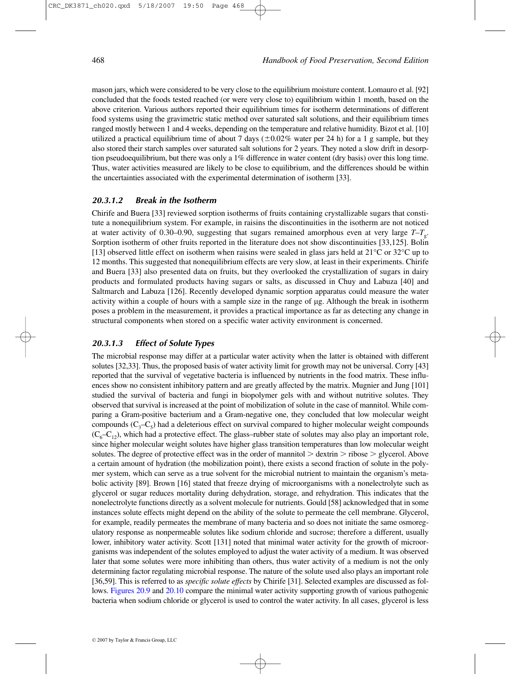<span id="page-21-0"></span>mason jars, which were considered to be very close to the equilibrium moisture content. Lomauro et al. [92] concluded that the foods tested reached (or were very close to) equilibrium within 1 month, based on the above criterion. Various authors reported their equilibrium times for isotherm determinations of different food systems using the gravimetric static method over saturated salt solutions, and their equilibrium times ranged mostly between 1 and 4 weeks, depending on the temperature and relative humidity. Bizot et al. [10] utilized a practical equilibrium time of about 7 days ( $\pm 0.02\%$  water per 24 h) for a 1 g sample, but they also stored their starch samples over saturated salt solutions for 2 years. They noted a slow drift in desorption pseudoequilibrium, but there was only a 1% difference in water content (dry basis) over this long time. Thus, water activities measured are likely to be close to equilibrium, and the differences should be within the uncertainties associated with the experimental determination of isotherm [33].

## **20.3.1.2 Break in the Isotherm**

Chirife and Buera [33] reviewed sorption isotherms of fruits containing crystallizable sugars that constitute a nonequilibrium system. For example, in raisins the discontinuities in the isotherm are not noticed at water activity of 0.30–0.90, suggesting that sugars remained amorphous even at very large *T*–*T*g. Sorption isotherm of other fruits reported in the literature does not show discontinuities [33,125]. Bolin [13] observed little effect on isotherm when raisins were sealed in glass jars held at 21°C or 32°C up to 12 months. This suggested that nonequilibrium effects are very slow, at least in their experiments. Chirife and Buera [33] also presented data on fruits, but they overlooked the crystallization of sugars in dairy products and formulated products having sugars or salts, as discussed in Chuy and Labuza [40] and Saltmarch and Labuza [126]. Recently developed dynamic sorption apparatus could measure the water activity within a couple of hours with a sample size in the range of g. Although the break in isotherm poses a problem in the measurement, it provides a practical importance as far as detecting any change in structural components when stored on a specific water activity environment is concerned.

## **20.3.1.3 Effect of Solute Types**

The microbial response may differ at a particular water activity when the latter is obtained with different solutes [32,33]. Thus, the proposed basis of water activity limit for growth may not be universal. Corry [43] reported that the survival of vegetative bacteria is influenced by nutrients in the food matrix. These influences show no consistent inhibitory pattern and are greatly affected by the matrix. Mugnier and Jung [101] studied the survival of bacteria and fungi in biopolymer gels with and without nutritive solutes. They observed that survival is increased at the point of mobilization of solute in the case of mannitol. While comparing a Gram-positive bacterium and a Gram-negative one, they concluded that low molecular weight compounds  $(C_3 - C_5)$  had a deleterious effect on survival compared to higher molecular weight compounds  $(C_{6}-C_{12})$ , which had a protective effect. The glass–rubber state of solutes may also play an important role, since higher molecular weight solutes have higher glass transition temperatures than low molecular weight solutes. The degree of protective effect was in the order of mannitol  $>$  dextrin  $>$  ribose  $>$  glycerol. Above a certain amount of hydration (the mobilization point), there exists a second fraction of solute in the polymer system, which can serve as a true solvent for the microbial nutrient to maintain the organism's metabolic activity [89]. Brown [16] stated that freeze drying of microorganisms with a nonelectrolyte such as glycerol or sugar reduces mortality during dehydration, storage, and rehydration. This indicates that the nonelectrolyte functions directly as a solvent molecule for nutrients. Gould [58] acknowledged that in some instances solute effects might depend on the ability of the solute to permeate the cell membrane. Glycerol, for example, readily permeates the membrane of many bacteria and so does not initiate the same osmoregulatory response as nonpermeable solutes like sodium chloride and sucrose; therefore a different, usually lower, inhibitory water activity. Scott [131] noted that minimal water activity for the growth of microorganisms was independent of the solutes employed to adjust the water activity of a medium. It was observed later that some solutes were more inhibiting than others, thus water activity of a medium is not the only determining factor regulating microbial response. The nature of the solute used also plays an important role [36,59]. This is referred to as *specific solute effects* by Chirife [31]. Selected examples are discussed as follows. [Figures 20.9](#page-22-0) and [20.10](#page-23-0) compare the minimal water activity supporting growth of various pathogenic bacteria when sodium chloride or glycerol is used to control the water activity. In all cases, glycerol is less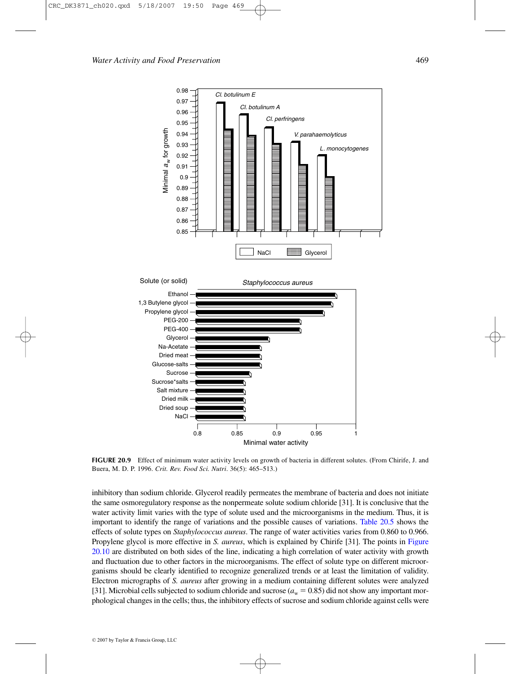Minimal *a*w for growth

Minimal a<sub>w</sub> for growth

<span id="page-22-0"></span>



**FIGURE 20.9** Effect of minimum water activity levels on growth of bacteria in different solutes. (From Chirife, J. and Buera, M. D. P. 1996. *Crit. Rev. Food Sci. Nutri*. 36(5): 465–513.)

inhibitory than sodium chloride. Glycerol readily permeates the membrane of bacteria and does not initiate the same osmoregulatory response as the nonpermeate solute sodium chloride [31]. It is conclusive that the water activity limit varies with the type of solute used and the microorganisms in the medium. Thus, it is important to identify the range of variations and the possible causes of variations. [Table 20.5](#page-13-0) shows the effects of solute types on *Staphylococcus aureus*. The range of water activities varies from 0.860 to 0.966. Propylene glycol is more effective in *S. aureus*, which is explained by Chirife [31]. The points in [Figure](#page-23-0) [20.10](#page-23-0) are distributed on both sides of the line, indicating a high correlation of water activity with growth and fluctuation due to other factors in the microorganisms. The effect of solute type on different microorganisms should be clearly identified to recognize generalized trends or at least the limitation of validity. Electron micrographs of *S. aureus* after growing in a medium containing different solutes were analyzed [31]. Microbial cells subjected to sodium chloride and sucrose  $(a_w = 0.85)$  did not show any important morphological changes in the cells; thus, the inhibitory effects of sucrose and sodium chloride against cells were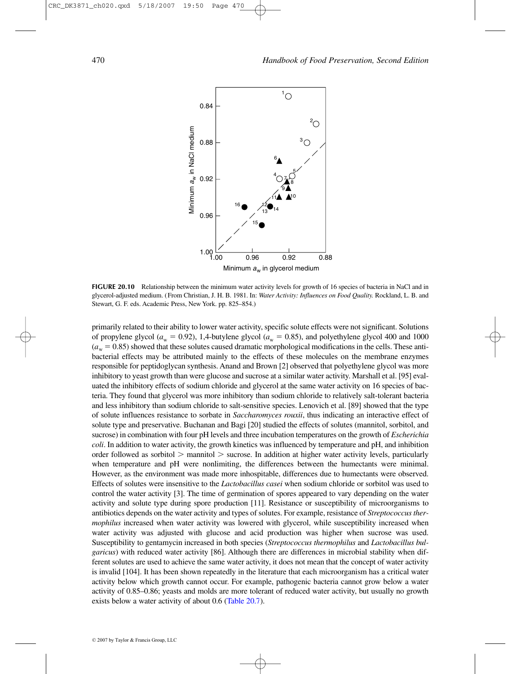<span id="page-23-0"></span>

**FIGURE 20.10** Relationship between the minimum water activity levels for growth of 16 species of bacteria in NaCl and in glycerol-adjusted medium. (From Christian, J. H. B. 1981. In: *Water Activity: Influences on Food Quality.* Rockland, L. B. and Stewart, G. F. eds. Academic Press, New York. pp. 825–854.)

primarily related to their ability to lower water activity, specific solute effects were not significant. Solutions of propylene glycol ( $a_w = 0.92$ ), 1,4-butylene glycol ( $a_w = 0.85$ ), and polyethylene glycol 400 and 1000  $(a_w = 0.85)$  showed that these solutes caused dramatic morphological modifications in the cells. These antibacterial effects may be attributed mainly to the effects of these molecules on the membrane enzymes responsible for peptidoglycan synthesis. Anand and Brown [2] observed that polyethylene glycol was more inhibitory to yeast growth than were glucose and sucrose at a similar water activity. Marshall et al. [95] evaluated the inhibitory effects of sodium chloride and glycerol at the same water activity on 16 species of bacteria. They found that glycerol was more inhibitory than sodium chloride to relatively salt-tolerant bacteria and less inhibitory than sodium chloride to salt-sensitive species. Lenovich et al. [89] showed that the type of solute influences resistance to sorbate in *Saccharomyces rouxii*, thus indicating an interactive effect of solute type and preservative. Buchanan and Bagi [20] studied the effects of solutes (mannitol, sorbitol, and sucrose) in combination with four pH levels and three incubation temperatures on the growth of *Escherichia coli*. In addition to water activity, the growth kinetics was influenced by temperature and pH, and inhibition order followed as sorbitol  $>$  mannitol  $>$  sucrose. In addition at higher water activity levels, particularly when temperature and pH were nonlimiting, the differences between the humectants were minimal. However, as the environment was made more inhospitable, differences due to humectants were observed. Effects of solutes were insensitive to the *Lactobacillus casei* when sodium chloride or sorbitol was used to control the water activity [3]. The time of germination of spores appeared to vary depending on the water activity and solute type during spore production [11]. Resistance or susceptibility of microorganisms to antibiotics depends on the water activity and types of solutes. For example, resistance of *Streptococcus thermophilus* increased when water activity was lowered with glycerol, while susceptibility increased when water activity was adjusted with glucose and acid production was higher when sucrose was used. Susceptibility to gentamycin increased in both species (*Streptococcus thermophilus* and *Lactobacillus bulgaricus*) with reduced water activity [86]. Although there are differences in microbial stability when different solutes are used to achieve the same water activity, it does not mean that the concept of water activity is invalid [104]. It has been shown repeatedly in the literature that each microorganism has a critical water activity below which growth cannot occur. For example, pathogenic bacteria cannot grow below a water activity of 0.85–0.86; yeasts and molds are more tolerant of reduced water activity, but usually no growth exists below a water activity of about 0.6 ([Table 20.7](#page-14-0)).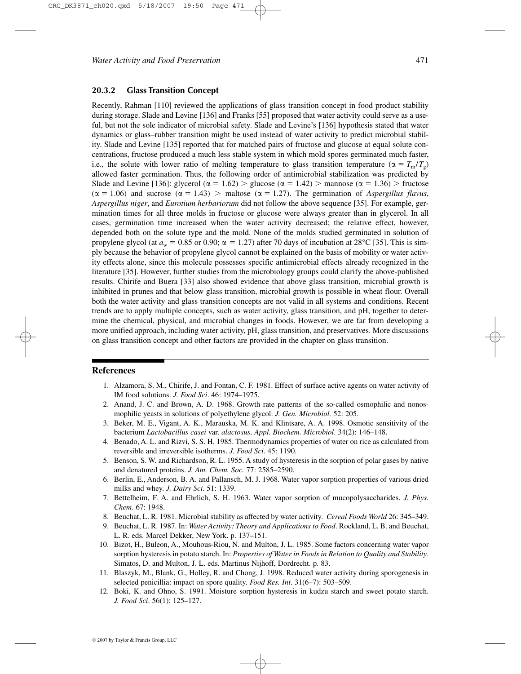## <span id="page-24-0"></span>**20.3.2 Glass Transition Concept**

Recently, Rahman [110] reviewed the applications of glass transition concept in food product stability during storage. Slade and Levine [136] and Franks [55] proposed that water activity could serve as a useful, but not the sole indicator of microbial safety. Slade and Levine's [136] hypothesis stated that water dynamics or glass–rubber transition might be used instead of water activity to predict microbial stability. Slade and Levine [135] reported that for matched pairs of fructose and glucose at equal solute concentrations, fructose produced a much less stable system in which mold spores germinated much faster, i.e., the solute with lower ratio of melting temperature to glass transition temperature  $(\alpha = T_m/T_g)$ allowed faster germination. Thus, the following order of antimicrobial stabilization was predicted by Slade and Levine [136]: glycerol ( $\alpha = 1.62$ ) > glucose ( $\alpha = 1.42$ ) > mannose ( $\alpha = 1.36$ ) > fructose  $(\alpha = 1.06)$  and sucrose  $(\alpha = 1.43)$  > maltose  $(\alpha = 1.27)$ . The germination of *Aspergillus flavus*, *Aspergillus niger*, and *Eurotium herbariorum* did not follow the above sequence [35]. For example, germination times for all three molds in fructose or glucose were always greater than in glycerol. In all cases, germination time increased when the water activity decreased; the relative effect, however, depended both on the solute type and the mold. None of the molds studied germinated in solution of propylene glycol (at  $a_w = 0.85$  or 0.90;  $\alpha = 1.27$ ) after 70 days of incubation at 28°C [35]. This is simply because the behavior of propylene glycol cannot be explained on the basis of mobility or water activity effects alone, since this molecule possesses specific antimicrobial effects already recognized in the literature [35]. However, further studies from the microbiology groups could clarify the above-published results. Chirife and Buera [33] also showed evidence that above glass transition, microbial growth is inhibited in prunes and that below glass transition, microbial growth is possible in wheat flour. Overall both the water activity and glass transition concepts are not valid in all systems and conditions. Recent trends are to apply multiple concepts, such as water activity, glass transition, and pH, together to determine the chemical, physical, and microbial changes in foods. However, we are far from developing a more unified approach, including water activity, pH, glass transition, and preservatives. More discussions on glass transition concept and other factors are provided in the chapter on glass transition.

#### **References**

- 1. Alzamora, S. M., Chirife, J. and Fontan, C. F. 1981. Effect of surface active agents on water activity of IM food solutions. *J. Food Sci*. 46: 1974–1975.
- 2. Anand, J. C. and Brown, A. D. 1968. Growth rate patterns of the so-called osmophilic and nonosmophilic yeasts in solutions of polyethylene glycol. *J. Gen. Microbiol.* 52: 205.
- 3. Beker, M. E., Vigant, A. K., Marauska, M. K. and Klintsare, A. A. 1998. Osmotic sensitivity of the bacterium *Lactobacillus casei* var. *alactosus*. *Appl. Biochem. Microbiol*. 34(2): 146–148.
- 4. Benado, A. L. and Rizvi, S. S. H. 1985. Thermodynamics properties of water on rice as calculated from reversible and irreversible isotherms. *J. Food Sci*. 45: 1190.
- 5. Benson, S. W. and Richardson, R. L. 1955. A study of hysteresis in the sorption of polar gases by native and denatured proteins. *J. Am. Chem. Soc.* 77: 2585–2590.
- 6. Berlin, E., Anderson, B. A. and Pallansch, M. J. 1968. Water vapor sorption properties of various dried milks and whey. *J. Dairy Sci*. 51: 1339.
- 7. Bettelheim, F. A. and Ehrlich, S. H. 1963. Water vapor sorption of mucopolysaccharides. *J. Phys. Chem*. 67: 1948.
- 8. Beuchat, L. R. 1981. Microbial stability as affected by water activity. *Cereal Foods World* 26: 345–349.
- 9. Beuchat, L. R. 1987. In: *Water Activity: Theory and Applications to Food*. Rockland, L. B. and Beuchat, L. R. eds. Marcel Dekker, New York. p. 137–151.
- 10. Bizot, H., Buleon, A., Mouhous-Riou, N. and Multon, J. L. 1985. Some factors concerning water vapor sorption hysteresis in potato starch. In: *Properties of Water in Foods in Relation to Quality and Stability*. Simatos, D. and Multon, J. L. eds. Martinus Nijhoff, Dordrecht. p. 83.
- 11. Blaszyk, M., Blank, G., Holley, R. and Chong, J. 1998. Reduced water activity during sporogenesis in selected penicillia: impact on spore quality. *Food Res. Int*. 31(6–7): 503–509.
- 12. Boki, K. and Ohno, S. 1991. Moisture sorption hysteresis in kudzu starch and sweet potato starch. *J. Food Sci*. 56(1): 125–127.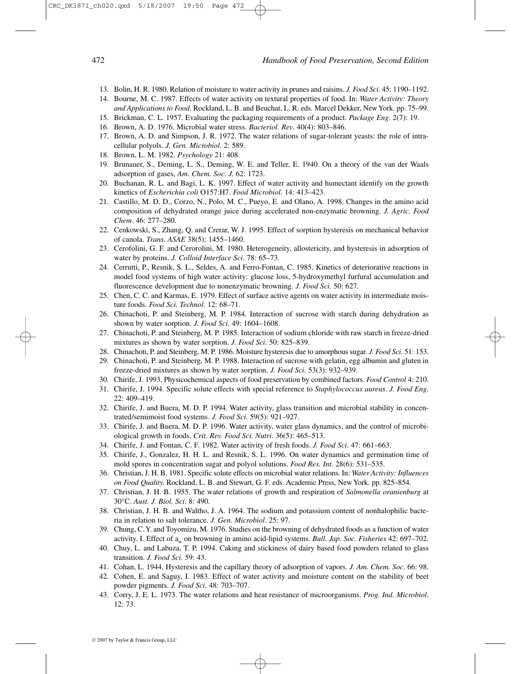- 13. Bolin, H. R. 1980. Relation of moisture to water activity in prunes and raisins. *J. Food Sci*. 45: 1190–1192.
- 14. Bourne, M. C. 1987. Effects of water activity on textural properties of food. In: *Water Activity: Theory and Applications to Food*. Rockland, L. B. and Beuchat, L. R. eds. Marcel Dekker, New York. pp. 75–99.
- 15. Brickman, C. L. 1957. Evaluating the packaging requirements of a product. *Package Eng*. 2(7): 19.
- 16. Brown, A. D. 1976. Microbial water stress. *Bacteriol. Rev*. 40(4): 803–846.
- 17. Brown, A. D. and Simpson, J. R. 1972. The water relations of sugar-tolerant yeasts: the role of intracellular polyols. *J. Gen. Microbiol*. 2: 589.
- 18. Brown, L. M. 1982. *Psychology* 21: 408.
- 19. Brunauer, S., Deming, L. S., Deming, W. E. and Teller, E. 1940. On a theory of the van der Waals adsorption of gases, *Am. Chem. Soc. J.* 62: 1723.
- 20. Buchanan, R. L. and Bagi, L. K. 1997. Effect of water activity and humectant identify on the growth kinetics of *Escherichia coli* O157:H7. *Food Microbiol*. 14: 413–423.
- 21. Castillo, M. D. D., Corzo, N., Polo, M. C., Pueyo, E. and Olano, A. 1998. Changes in the amino acid composition of dehydrated orange juice during accelerated non-enzymatic browning. *J. Agric. Food Chem*. 46: 277–280.
- 22. Cenkowski, S., Zhang, Q. and Crerar, W. J. 1995. Effect of sorption hysteresis on mechanical behavior of canola. *Trans. ASAE* 38(5): 1455–1460.
- 23. Cerofolini, G. F. and Cerorolini, M. 1980. Heterogeneity, allostericity, and hysteresis in adsorption of water by proteins. *J. Colloid Interface Sci*. 78: 65–73.
- 24. Cerrutti, P., Resnik, S. L., Seldes, A. and Ferro-Fontan, C. 1985. Kinetics of deteriorative reactions in model food systems of high water activity: glucose loss, 5-hydroxymethyl furfural accumulation and fluorescence development due to nonenzymatic browning. *J. Food Sci.* 50: 627.
- 25. Chen, C. C. and Karmas, E. 1979. Effect of surface active agents on water activity in intermediate moisture foods. *Food Sci. Technol*. 12: 68–71.
- 26. Chinachoti, P. and Steinberg, M. P. 1984. Interaction of sucrose with starch during dehydration as shown by water sorption. *J. Food Sci*. 49: 1604–1608.
- 27. Chinachoti, P. and Steinberg, M. P. 1985. Interaction of sodium chloride with raw starch in freeze-dried mixtures as shown by water sorption. *J. Food Sci*. 50: 825–839.
- 28. Chinachoti, P. and Steinberg, M. P. 1986. Moisture hysteresis due to amorphous sugar. *J. Food Sci*. 51: 153.
- 29. Chinachoti, P. and Steinberg, M. P. 1988. Interaction of sucrose with gelatin, egg albumin and gluten in freeze-dried mixtures as shown by water sorption. *J. Food Sci*. 53(3): 932–939.
- 30. Chirife, J. 1993. Physicochemical aspects of food preservation by combined factors. *Food Control* 4: 210.
- 31. Chirife, J. 1994. Specific solute effects with special reference to *Staphylococcus aureus*. *J. Food Eng*. 22: 409–419.
- 32. Chirife, J. and Buera, M. D. P. 1994. Water activity, glass transition and microbial stability in concentrated/semimoist food systems. *J. Food Sci*. 59(5): 921–927.
- 33. Chirife, J. and Buera, M. D. P. 1996. Water activity, water glass dynamics, and the control of microbiological growth in foods. *Crit. Rev. Food Sci. Nutri*. 36(5): 465–513.
- 34. Chirife, J. and Fontan, C. F. 1982. Water activity of fresh foods. *J. Food Sci*. 47: 661–663.
- 35. Chirife, J., Gonzalez, H. H. L. and Resnik, S. L. 1996. On water dynamics and germination time of mold spores in concentration sugar and polyol solutions. *Food Res. Int*. 28(6): 531–535.
- 36. Christian, J. H. B. 1981. Specific solute effects on microbial water relations. In: *Water Activity: Influences on Food Quality.* Rockland, L. B. and Stewart, G. F. eds. Academic Press, New York. pp. 825–854.
- 37. Christian, J. H. B. 1955. The water relations of growth and respiration of *Salmonella oranienburg* at 30°C. *Aust. J. Biol. Sci*. 8: 490.
- 38. Christian, J. H. B. and Waltho, J. A. 1964. The sodium and potassium content of nonhalophilic bacteria in relation to salt tolerance. *J. Gen. Microbiol*. 25: 97.
- 39. Chung, C. Y. and Toyomizu, M. 1976. Studies on the browning of dehydrated foods as a function of water activity. I. Effect of a<sub>w</sub> on browning in amino acid-lipid systems. *Bull. Jap. Soc. Fisheries* 42: 697–702.
- 40. Chuy, L. and Labuza, T. P. 1994. Caking and stickiness of dairy based food powders related to glass transition. *J. Food Sci*. 59: 43.
- 41. Cohan, L. 1944. Hysteresis and the capillary theory of adsorption of vapors. *J. Am. Chem. Soc*. 66: 98.
- 42. Cohen, E. and Saguy, I. 1983. Effect of water activity and moisture content on the stability of beet powder pigments. *J. Food Sci*. 48: 703–707.
- 43. Corry, J. E. L. 1973. The water relations and heat resistance of microorganisms. *Prog. Ind. Microbiol*. 12: 73.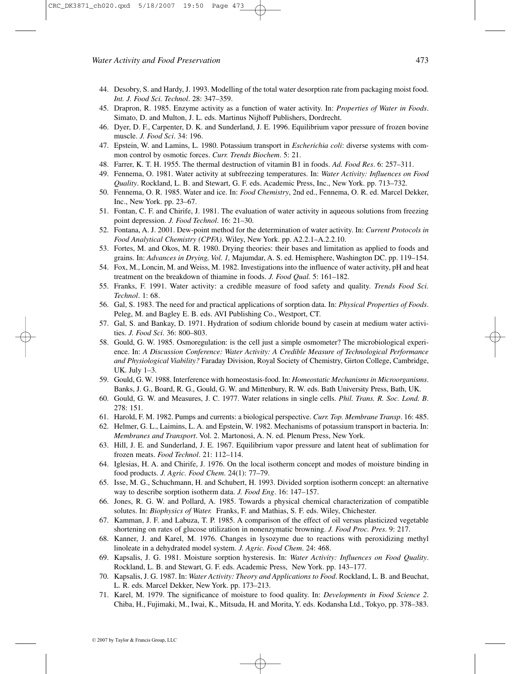- 44. Desobry, S. and Hardy, J. 1993. Modelling of the total water desorption rate from packaging moist food. *Int. J. Food Sci. Technol*. 28: 347–359.
- 45. Drapron, R. 1985. Enzyme activity as a function of water activity. In: *Properties of Water in Foods*. Simato, D. and Multon, J. L. eds. Martinus Nijhoff Publishers, Dordrecht.
- 46. Dyer, D. F., Carpenter, D. K. and Sunderland, J. E. 1996. Equilibrium vapor pressure of frozen bovine muscle. *J. Food Sci*. 34: 196.
- 47. Epstein, W. and Lamins, L. 1980. Potassium transport in *Escherichia coli*: diverse systems with common control by osmotic forces. *Curr. Trends Biochem*. 5: 21.
- 48. Farrer, K. T. H. 1955. The thermal destruction of vitamin B1 in foods. *Ad. Food Res*. 6: 257–311.
- 49. Fennema, O. 1981. Water activity at subfreezing temperatures. In: *Water Activity: Influences on Food Quality*. Rockland, L. B. and Stewart, G. F. eds. Academic Press, Inc., New York. pp. 713–732.
- 50. Fennema, O. R. 1985. Water and ice. In: *Food Chemistry*, 2nd ed., Fennema, O. R. ed. Marcel Dekker, Inc., New York. pp. 23–67.
- 51. Fontan, C. F. and Chirife, J. 1981. The evaluation of water activity in aqueous solutions from freezing point depression. *J. Food Technol*. 16: 21–30.
- 52. Fontana, A. J. 2001. Dew-point method for the determination of water activity. In: *Current Protocols in Food Analytical Chemistry (CPFA)*. Wiley, New York. pp. A2.2.1–A.2.2.10.
- 53. Fortes, M. and Okos, M. R. 1980. Drying theories: their bases and limitation as applied to foods and grains. In: *Advances in Drying, Vol. 1,* Majumdar, A. S. ed. Hemisphere, Washington DC. pp. 119–154.
- 54. Fox, M., Loncin, M. and Weiss, M. 1982. Investigations into the influence of water activity, pH and heat treatment on the breakdown of thiamine in foods. *J. Food Qual.* 5: 161–182.
- 55. Franks, F. 1991. Water activity: a credible measure of food safety and quality. *Trends Food Sci. Technol*. 1: 68.
- 56. Gal, S. 1983. The need for and practical applications of sorption data. In: *Physical Properties of Foods*. Peleg, M. and Bagley E. B. eds. AVI Publishing Co., Westport, CT.
- 57. Gal, S. and Bankay, D. 1971. Hydration of sodium chloride bound by casein at medium water activities. *J. Food Sci*. 36: 800–803.
- 58. Gould, G. W. 1985. Osmoregulation: is the cell just a simple osmometer? The microbiological experience. In: *A Discussion Conference: Water Activity: A Credible Measure of Technological Performance and Physiological Viability?* Faraday Division, Royal Society of Chemistry, Girton College, Cambridge, UK. July 1–3.
- 59. Gould, G. W. 1988. Interference with homeostasis-food. In: *Homeostatic Mechanisms in Microorganisms*. Banks, J. G., Board, R. G., Gould, G. W. and Mittenbury, R. W. eds. Bath University Press, Bath, UK.
- 60. Gould, G. W. and Measures, J. C. 1977. Water relations in single cells. *Phil. Trans. R. Soc. Lond. B*.  $278 \cdot 151$
- 61. Harold, F. M. 1982. Pumps and currents: a biological perspective. *Curr. Top. Membrane Transp*. 16: 485.
- 62. Helmer, G. L., Laimins, L. A. and Epstein, W. 1982. Mechanisms of potassium transport in bacteria. In: *Membranes and Transport*. Vol. 2. Martonosi, A. N. ed. Plenum Press, New York.
- 63. Hill, J. E. and Sunderland, J. E. 1967. Equilibrium vapor pressure and latent heat of sublimation for frozen meats. *Food Technol*. 21: 112–114.
- 64. Iglesias, H. A. and Chirife, J. 1976. On the local isotherm concept and modes of moisture binding in food products. *J. Agric. Food Chem*. 24(1): 77–79.
- 65. Isse, M. G., Schuchmann, H. and Schubert, H. 1993. Divided sorption isotherm concept: an alternative way to describe sorption isotherm data. *J. Food Eng*. 16: 147–157.
- 66. Jones, R. G. W. and Pollard, A. 1985. Towards a physical chemical characterization of compatible solutes. In: *Biophysics of Water.* Franks, F. and Mathias, S. F. eds. Wiley, Chichester.
- 67. Kamman, J. F. and Labuza, T. P. 1985. A comparison of the effect of oil versus plasticized vegetable shortening on rates of glucose utilization in nonenzymatic browning. *J. Food Proc. Pres*. 9: 217.
- 68. Kanner, J. and Karel, M. 1976. Changes in lysozyme due to reactions with peroxidizing methyl linoleate in a dehydrated model system. *J. Agric. Food Chem*. 24: 468.
- 69. Kapsalis, J. G. 1981. Moisture sorption hysteresis. In: *Water Activity: Influences on Food Quality*. Rockland, L. B. and Stewart, G. F. eds. Academic Press, New York. pp. 143–177.
- 70. Kapsalis, J. G. 1987. In: *Water Activity: Theory and Applications to Food*. Rockland, L. B. and Beuchat, L. R. eds. Marcel Dekker, New York. pp. 173–213.
- 71. Karel, M. 1979. The significance of moisture to food quality. In: *Developments in Food Science 2*. Chiba, H., Fujimaki, M., Iwai, K., Mitsuda, H. and Morita, Y. eds. Kodansha Ltd., Tokyo, pp. 378–383.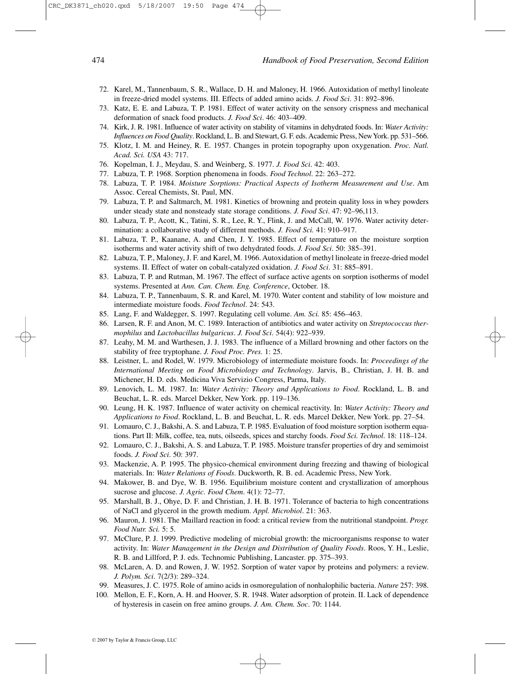- 72. Karel, M., Tannenbaum, S. R., Wallace, D. H. and Maloney, H. 1966. Autoxidation of methyl linoleate in freeze-dried model systems. III. Effects of added amino acids. *J. Food Sci*. 31: 892–896.
- 73. Katz, E. E. and Labuza, T. P. 1981. Effect of water activity on the sensory crispness and mechanical deformation of snack food products. *J. Food Sci*. 46: 403–409.
- 74. Kirk, J. R. 1981. Influence of water activity on stability of vitamins in dehydrated foods. In: *Water Activity: Influences on Food Quality*. Rockland, L. B. and Stewart, G. F. eds. Academic Press, New York. pp. 531–566.
- 75. Klotz, I. M. and Heiney, R. E. 1957. Changes in protein topography upon oxygenation. *Proc. Natl. Acad. Sci. USA* 43: 717.
- 76. Kopelman, I. J., Meydau, S. and Weinberg, S. 1977. *J. Food Sci*. 42: 403.
- 77. Labuza, T. P. 1968. Sorption phenomena in foods. *Food Technol*. 22: 263–272.
- 78. Labuza, T. P. 1984. *Moisture Sorptions: Practical Aspects of Isotherm Measurement and Use*. Am Assoc. Cereal Chemists, St. Paul, MN.
- 79. Labuza, T. P. and Saltmarch, M. 1981. Kinetics of browning and protein quality loss in whey powders under steady state and nonsteady state storage conditions. *J. Food Sci*. 47: 92–96,113.
- 80. Labuza, T. P., Acott, K., Tatini, S. R., Lee, R. Y., Flink, J. and McCall, W. 1976. Water activity determination: a collaborative study of different methods. *J. Food Sci.* 41: 910–917.
- 81. Labuza, T. P., Kaanane, A. and Chen, J. Y. 1985. Effect of temperature on the moisture sorption isotherms and water activity shift of two dehydrated foods. *J. Food Sci*. 50: 385–391.
- 82. Labuza, T. P., Maloney, J. F. and Karel, M. 1966. Autoxidation of methyl linoleate in freeze-dried model systems. II. Effect of water on cobalt-catalyzed oxidation. *J. Food Sci*. 31: 885–891.
- 83. Labuza, T. P. and Rutman, M. 1967. The effect of surface active agents on sorption isotherms of model systems. Presented at *Ann. Can. Chem. Eng. Conference*, October. 18.
- 84. Labuza, T. P., Tannenbaum, S. R. and Karel, M. 1970. Water content and stability of low moisture and intermediate moisture foods. *Food Technol*. 24: 543.
- 85. Lang, F. and Waldegger, S. 1997. Regulating cell volume. *Am. Sci.* 85: 456–463.
- 86. Larsen, R. F. and Anon, M. C. 1989. Interaction of antibiotics and water activity on *Streptococcus thermophilus* and *Lactobacillus bulgaricus*. *J. Food Sci*. 54(4): 922–939.
- 87. Leahy, M. M. and Warthesen, J. J. 1983. The influence of a Millard browning and other factors on the stability of free tryptophane. *J. Food Proc. Pres.* 1: 25.
- 88. Leistner, L. and Rodel, W. 1979. Microbiology of intermediate moisture foods. In: *Proceedings of the International Meeting on Food Microbiology and Technology*. Jarvis, B., Christian, J. H. B. and Michener, H. D. eds. Medicina Viva Servizio Congress, Parma, Italy.
- 89. Lenovich, L. M. 1987. In: *Water Activity: Theory and Applications to Food*. Rockland, L. B. and Beuchat, L. R. eds. Marcel Dekker, New York. pp. 119–136.
- 90. Leung, H. K. 1987. Influence of water activity on chemical reactivity. In: *Water Activity: Theory and Applications to Food*. Rockland, L. B. and Beuchat, L. R. eds. Marcel Dekker, New York. pp. 27–54.
- 91. Lomauro, C. J., Bakshi, A. S. and Labuza, T. P. 1985. Evaluation of food moisture sorption isotherm equations. Part II: Milk, coffee, tea, nuts, oilseeds, spices and starchy foods. *Food Sci. Technol*. 18: 118–124.
- 92. Lomauro, C. J., Bakshi, A. S. and Labuza, T. P. 1985. Moisture transfer properties of dry and semimoist foods. *J. Food Sci*. 50: 397.
- 93. Mackenzie, A. P. 1995. The physico-chemical environment during freezing and thawing of biological materials. In: *Water Relations of Foods*. Duckworth, R. B. ed. Academic Press, New York.
- 94. Makower, B. and Dye, W. B. 1956. Equilibrium moisture content and crystallization of amorphous sucrose and glucose. *J. Agric. Food Chem*. 4(1): 72–77.
- 95. Marshall, B. J., Ohye, D. F. and Christian, J. H. B. 1971. Tolerance of bacteria to high concentrations of NaCl and glycerol in the growth medium. *Appl. Microbiol*. 21: 363.
- 96. Mauron, J. 1981. The Maillard reaction in food: a critical review from the nutritional standpoint. *Progr. Food Nutr. Sci.* 5: 5.
- 97. McClure, P. J. 1999. Predictive modeling of microbial growth: the microorganisms response to water activity. In: *Water Management in the Design and Distribution of Quality Foods*. Roos, Y. H., Leslie, R. B. and Lillford, P. J. eds. Technomic Publishing, Lancaster. pp. 375–393.
- 98. McLaren, A. D. and Rowen, J. W. 1952. Sorption of water vapor by proteins and polymers: a review. *J. Polym. Sci*. 7(2/3): 289–324.
- 99. Measures, J. C. 1975. Role of amino acids in osmoregulation of nonhalophilic bacteria. *Nature* 257: 398.
- 100. Mellon, E. F., Korn, A. H. and Hoover, S. R. 1948. Water adsorption of protein. II. Lack of dependence of hysteresis in casein on free amino groups. *J. Am. Chem. Soc*. 70: 1144.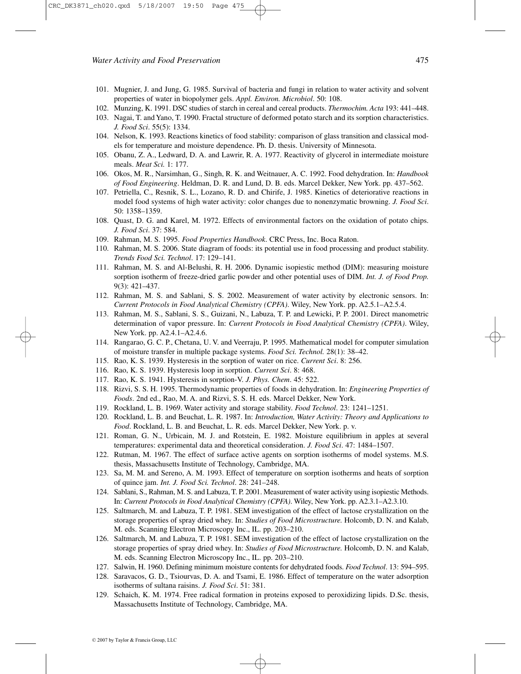- 101. Mugnier, J. and Jung, G. 1985. Survival of bacteria and fungi in relation to water activity and solvent properties of water in biopolymer gels. *Appl. Environ. Microbiol*. 50: 108.
- 102. Munzing, K. 1991. DSC studies of starch in cereal and cereal products. *Thermochim. Acta* 193: 441–448.
- 103. Nagai, T. and Yano, T. 1990. Fractal structure of deformed potato starch and its sorption characteristics. *J. Food Sci*. 55(5): 1334.
- 104. Nelson, K. 1993. Reactions kinetics of food stability: comparison of glass transition and classical models for temperature and moisture dependence. Ph. D. thesis. University of Minnesota.
- 105. Obanu, Z. A., Ledward, D. A. and Lawrir, R. A. 1977. Reactivity of glycerol in intermediate moisture meals. *Meat Sci.* 1: 177.
- 106. Okos, M. R., Narsimhan, G., Singh, R. K. and Weitnauer, A. C. 1992. Food dehydration. In: *Handbook of Food Engineering*. Heldman, D. R. and Lund, D. B. eds. Marcel Dekker, New York. pp. 437–562.
- 107. Petriella, C., Resnik, S. L., Lozano, R. D. and Chirife, J. 1985. Kinetics of deteriorative reactions in model food systems of high water activity: color changes due to nonenzymatic browning. *J. Food Sci*. 50: 1358–1359.
- 108. Quast, D. G. and Karel, M. 1972. Effects of environmental factors on the oxidation of potato chips. *J. Food Sci*. 37: 584.
- 109. Rahman, M. S. 1995. *Food Properties Handbook*. CRC Press, Inc. Boca Raton.
- 110. Rahman, M. S. 2006. State diagram of foods: its potential use in food processing and product stability. *Trends Food Sci. Technol*. 17: 129–141.
- 111. Rahman, M. S. and Al-Belushi, R. H. 2006. Dynamic isopiestic method (DIM): measuring moisture sorption isotherm of freeze-dried garlic powder and other potential uses of DIM. *Int. J. of Food Prop.* 9(3): 421–437.
- 112. Rahman, M. S. and Sablani, S. S. 2002. Measurement of water activity by electronic sensors. In: *Current Protocols in Food Analytical Chemistry (CPFA)*. Wiley, New York. pp. A2.5.1–A2.5.4.
- 113. Rahman, M. S., Sablani, S. S., Guizani, N., Labuza, T. P. and Lewicki, P. P. 2001. Direct manometric determination of vapor pressure. In: *Current Protocols in Food Analytical Chemistry (CPFA)*. Wiley, New York. pp. A2.4.1–A2.4.6.
- 114. Rangarao, G. C. P., Chetana, U. V. and Veerraju, P. 1995. Mathematical model for computer simulation of moisture transfer in multiple package systems. *Food Sci. Technol.* 28(1): 38–42.
- 115. Rao, K. S. 1939. Hysteresis in the sorption of water on rice. *Current Sci*. 8: 256.
- 116. Rao, K. S. 1939. Hysteresis loop in sorption. *Current Sci*. 8: 468.
- 117. Rao, K. S. 1941. Hysteresis in sorption-V. *J. Phys. Chem*. 45: 522.
- 118. Rizvi, S. S. H. 1995. Thermodynamic properties of foods in dehydration. In: *Engineering Properties of Foods*. 2nd ed., Rao, M. A. and Rizvi, S. S. H. eds. Marcel Dekker, New York.
- 119. Rockland, L. B. 1969. Water activity and storage stability. *Food Technol*. 23: 1241–1251.
- 120. Rockland, L. B. and Beuchat, L. R. 1987. In: *Introduction, Water Activity: Theory and Applications to Food*. Rockland, L. B. and Beuchat, L. R. eds. Marcel Dekker, New York. p. v.
- 121. Roman, G. N., Urbicain, M. J. and Rotstein, E. 1982. Moisture equilibrium in apples at several temperatures: experimental data and theoretical consideration. *J. Food Sci*. 47: 1484–1507.
- 122. Rutman, M. 1967. The effect of surface active agents on sorption isotherms of model systems. M.S. thesis, Massachusetts Institute of Technology, Cambridge, MA.
- 123. Sa, M. M. and Sereno, A. M. 1993. Effect of temperature on sorption isotherms and heats of sorption of quince jam. *Int. J. Food Sci. Technol*. 28: 241–248.
- 124. Sablani, S., Rahman, M. S. and Labuza, T. P. 2001. Measurement of water activity using isopiestic Methods. In: *Current Protocols in Food Analytical Chemistry (CPFA)*. Wiley, New York. pp. A2.3.1–A2.3.10.
- 125. Saltmarch, M. and Labuza, T. P. 1981. SEM investigation of the effect of lactose crystallization on the storage properties of spray dried whey. In: *Studies of Food Microstructure.* Holcomb, D. N. and Kalab, M. eds. Scanning Electron Microscopy Inc., IL. pp. 203–210.
- 126. Saltmarch, M. and Labuza, T. P. 1981. SEM investigation of the effect of lactose crystallization on the storage properties of spray dried whey. In: *Studies of Food Microstructure.* Holcomb, D. N. and Kalab, M. eds. Scanning Electron Microscopy Inc., IL. pp. 203–210.
- 127. Salwin, H. 1960. Defining minimum moisture contents for dehydrated foods. *Food Technol*. 13: 594–595.
- 128. Saravacos, G. D., Tsiourvas, D. A. and Tsami, E. 1986. Effect of temperature on the water adsorption isotherms of sultana raisins. *J. Food Sci*. 51: 381.
- 129. Schaich, K. M. 1974. Free radical formation in proteins exposed to peroxidizing lipids. D.Sc. thesis, Massachusetts Institute of Technology, Cambridge, MA.